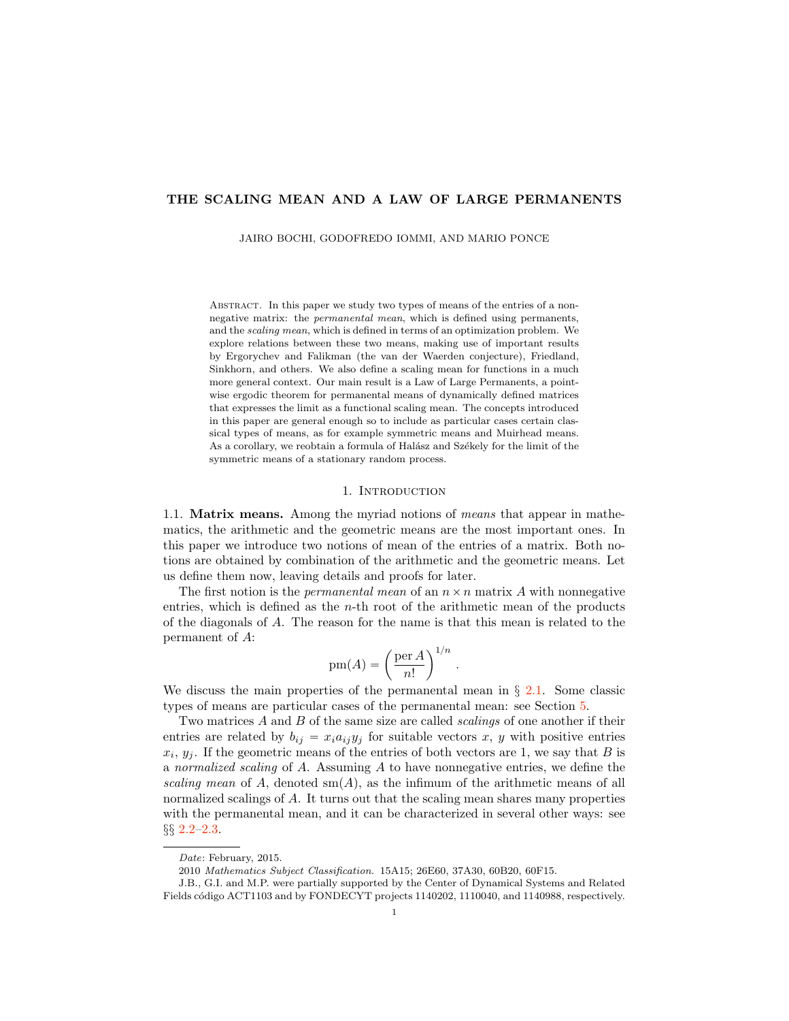# THE SCALING MEAN AND A LAW OF LARGE PERMANENTS

JAIRO BOCHI, GODOFREDO IOMMI, AND MARIO PONCE

Abstract. In this paper we study two types of means of the entries of a nonnegative matrix: the *permanental mean*, which is defined using permanents, and the *scaling mean*, which is defined in terms of an optimization problem. We explore relations between these two means, making use of important results by Ergorychev and Falikman (the van der Waerden conjecture), Friedland, Sinkhorn, and others. We also define a scaling mean for functions in a much more general context. Our main result is a Law of Large Permanents, a pointwise ergodic theorem for permanental means of dynamically defined matrices that expresses the limit as a functional scaling mean. The concepts introduced in this paper are general enough so to include as particular cases certain classical types of means, as for example symmetric means and Muirhead means. As a corollary, we reobtain a formula of Halász and Székely for the limit of the symmetric means of a stationary random process.

### 1. INTRODUCTION

1.1. Matrix means. Among the myriad notions of means that appear in mathematics, the arithmetic and the geometric means are the most important ones. In this paper we introduce two notions of mean of the entries of a matrix. Both notions are obtained by combination of the arithmetic and the geometric means. Let us define them now, leaving details and proofs for later.

The first notion is the *permanental mean* of an  $n \times n$  matrix A with nonnegative entries, which is defined as the  $n$ -th root of the arithmetic mean of the products of the diagonals of A. The reason for the name is that this mean is related to the permanent of A:

$$
pm(A) = \left(\frac{per A}{n!}\right)^{1/n}.
$$

We discuss the main properties of the permanental mean in *§* [2.1.](#page-2-0) Some classic types of means are particular cases of the permanental mean: see Section [5.](#page-23-0)

Two matrices A and B of the same size are called *scalings* of one another if their entries are related by  $b_{ij} = x_i a_{ij} y_j$  for suitable vectors x, y with positive entries  $x_i, y_i$ . If the geometric means of the entries of both vectors are 1, we say that B is a normalized scaling of A. Assuming A to have nonnegative entries, we define the scaling mean of A, denoted  $\text{sm}(A)$ , as the infimum of the arithmetic means of all normalized scalings of A. It turns out that the scaling mean shares many properties with the permanental mean, and it can be characterized in several other ways: see *§§* [2.2–](#page-4-0)[2.3.](#page-6-0)

*Date*: February, 2015.

<sup>2010</sup> *Mathematics Subject Classification.* 15A15; 26E60, 37A30, 60B20, 60F15.

J.B., G.I. and M.P. were partially supported by the Center of Dynamical Systems and Related Fields código ACT1103 and by FONDECYT projects 1140202, 1110040, and 1140988, respectively.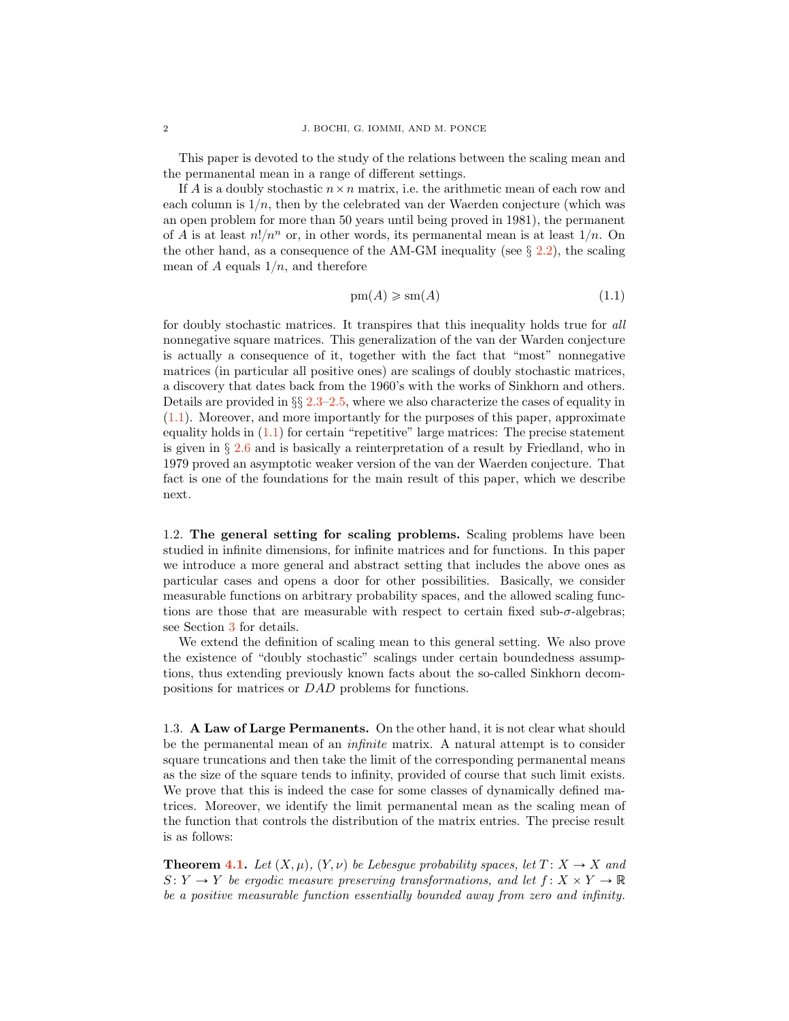This paper is devoted to the study of the relations between the scaling mean and the permanental mean in a range of different settings.

If A is a doubly stochastic  $n \times n$  matrix, i.e. the arithmetic mean of each row and each column is  $1/n$ , then by the celebrated van der Waerden conjecture (which was an open problem for more than 50 years until being proved in 1981), the permanent of A is at least  $n!/n^n$  or, in other words, its permanental mean is at least  $1/n$ . On the other hand, as a consequence of the AM-GM inequality (see *§* [2.2\)](#page-4-0), the scaling mean of A equals  $1/n$ , and therefore

<span id="page-1-0"></span>
$$
pm(A) \geqslant sm(A) \tag{1.1}
$$

for doubly stochastic matrices. It transpires that this inequality holds true for all nonnegative square matrices. This generalization of the van der Warden conjecture is actually a consequence of it, together with the fact that "most" nonnegative matrices (in particular all positive ones) are scalings of doubly stochastic matrices, a discovery that dates back from the 1960's with the works of Sinkhorn and others. Details are provided in *§§* [2.3](#page-6-0)[–2.5,](#page-8-0) where we also characterize the cases of equality in [\(1.1\)](#page-1-0). Moreover, and more importantly for the purposes of this paper, approximate equality holds in  $(1.1)$  for certain "repetitive" large matrices: The precise statement is given in *§* [2.6](#page-9-0) and is basically a reinterpretation of a result by Friedland, who in 1979 proved an asymptotic weaker version of the van der Waerden conjecture. That fact is one of the foundations for the main result of this paper, which we describe next.

1.2. The general setting for scaling problems. Scaling problems have been studied in infinite dimensions, for infinite matrices and for functions. In this paper we introduce a more general and abstract setting that includes the above ones as particular cases and opens a door for other possibilities. Basically, we consider measurable functions on arbitrary probability spaces, and the allowed scaling functions are those that are measurable with respect to certain fixed sub- $\sigma$ -algebras; see Section [3](#page-11-0) for details.

We extend the definition of scaling mean to this general setting. We also prove the existence of "doubly stochastic" scalings under certain boundedness assumptions, thus extending previously known facts about the so-called Sinkhorn decompositions for matrices or DAD problems for functions.

1.3. A Law of Large Permanents. On the other hand, it is not clear what should be the permanental mean of an infinite matrix. A natural attempt is to consider square truncations and then take the limit of the corresponding permanental means as the size of the square tends to infinity, provided of course that such limit exists. We prove that this is indeed the case for some classes of dynamically defined matrices. Moreover, we identify the limit permanental mean as the scaling mean of the function that controls the distribution of the matrix entries. The precise result is as follows:

**Theorem [4.1.](#page-17-0)** Let  $(X, \mu)$ ,  $(Y, \nu)$  be Lebesgue probability spaces, let  $T : X \to X$  and  $S: Y \to Y$  be ergodic measure preserving transformations, and let  $f: X \times Y \to \mathbb{R}$ be a positive measurable function essentially bounded away from zero and infinity.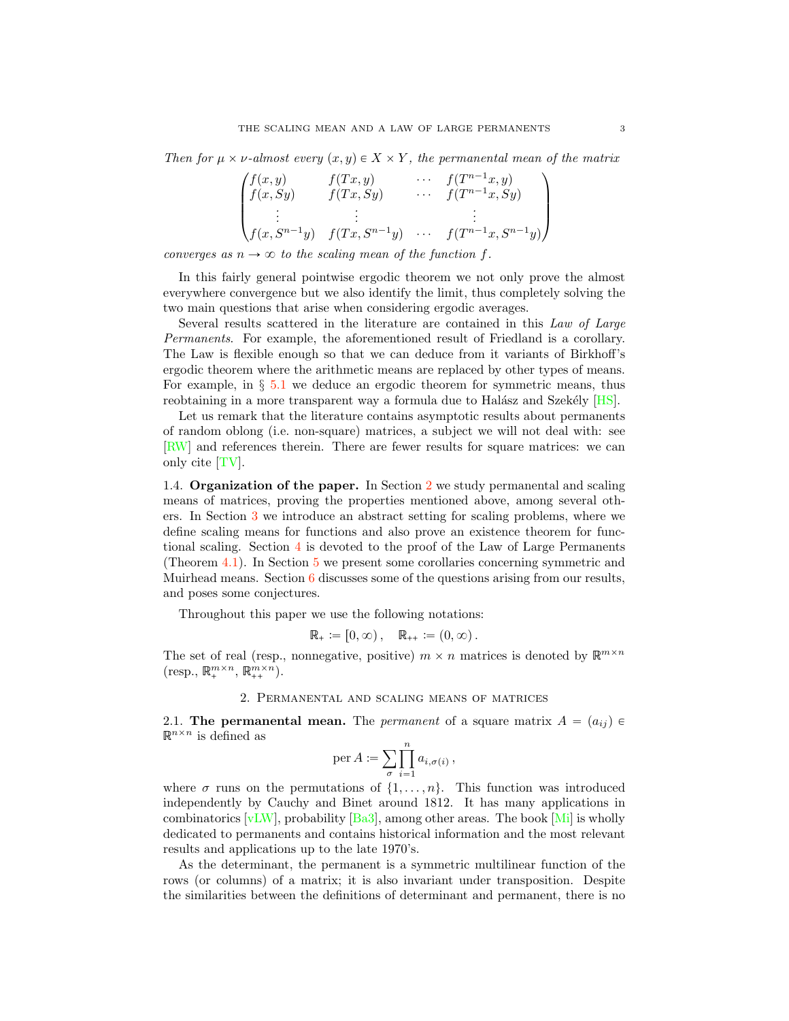<span id="page-2-2"></span>Then for  $\mu \times \nu$ -almost every  $(x, y) \in X \times Y$ , the permanental mean of the matrix

$$
\begin{pmatrix}\nf(x,y) & f(Tx,y) & \cdots & f(T^{n-1}x,y) \\
f(x, Sy) & f(Tx, Sy) & \cdots & f(T^{n-1}x, Sy) \\
\vdots & \vdots & & \vdots \\
f(x, S^{n-1}y) & f(Tx, S^{n-1}y) & \cdots & f(T^{n-1}x, S^{n-1}y)\n\end{pmatrix}
$$

converges as  $n \to \infty$  to the scaling mean of the function f.

In this fairly general pointwise ergodic theorem we not only prove the almost everywhere convergence but we also identify the limit, thus completely solving the two main questions that arise when considering ergodic averages.

Several results scattered in the literature are contained in this Law of Large Permanents. For example, the aforementioned result of Friedland is a corollary. The Law is flexible enough so that we can deduce from it variants of Birkhoff's ergodic theorem where the arithmetic means are replaced by other types of means. For example, in *§* [5.1](#page-23-1) we deduce an ergodic theorem for symmetric means, thus reobtaining in a more transparent way a formula due to Halász and Szekély  $[HS]$ .

Let us remark that the literature contains asymptotic results about permanents of random oblong (i.e. non-square) matrices, a subject we will not deal with: see [\[RW\]](#page-28-1) and references therein. There are fewer results for square matrices: we can only cite [\[TV\]](#page-28-2).

1.4. Organization of the paper. In Section [2](#page-2-1) we study permanental and scaling means of matrices, proving the properties mentioned above, among several others. In Section [3](#page-11-0) we introduce an abstract setting for scaling problems, where we define scaling means for functions and also prove an existence theorem for functional scaling. Section  $\frac{4}{3}$  $\frac{4}{3}$  $\frac{4}{3}$  is devoted to the proof of the Law of Large Permanents (Theorem [4.1\)](#page-17-0). In Section [5](#page-23-0) we present some corollaries concerning symmetric and Muirhead means. Section [6](#page-25-0) discusses some of the questions arising from our results, and poses some conjectures.

Throughout this paper we use the following notations:

$$
\mathbb{R}_{+} := [0, \infty), \quad \mathbb{R}_{++} := (0, \infty).
$$

The set of real (resp., nonnegative, positive)  $m \times n$  matrices is denoted by  $\mathbb{R}^{m \times n}$  $(\text{resp., } \mathbb{R}^{m \times n}_+, \mathbb{R}^{m \times n}_{++}).$ 

### 2. Permanental and scaling means of matrices

<span id="page-2-1"></span><span id="page-2-0"></span>2.1. The permanental mean. The *permanent* of a square matrix  $A = (a_{ij}) \in$  $\mathbb{R}^{n\times n}$  is defined as

$$
\operatorname{per} A := \sum_{\sigma} \prod_{i=1}^n a_{i,\sigma(i)},
$$

where  $\sigma$  runs on the permutations of  $\{1, \ldots, n\}$ . This function was introduced independently by Cauchy and Binet around 1812. It has many applications in combinatorics  $[vLW]$ , probability  $[Ba3]$ , among other areas. The book  $[Mi]$  is wholly dedicated to permanents and contains historical information and the most relevant results and applications up to the late 1970's.

As the determinant, the permanent is a symmetric multilinear function of the rows (or columns) of a matrix; it is also invariant under transposition. Despite the similarities between the definitions of determinant and permanent, there is no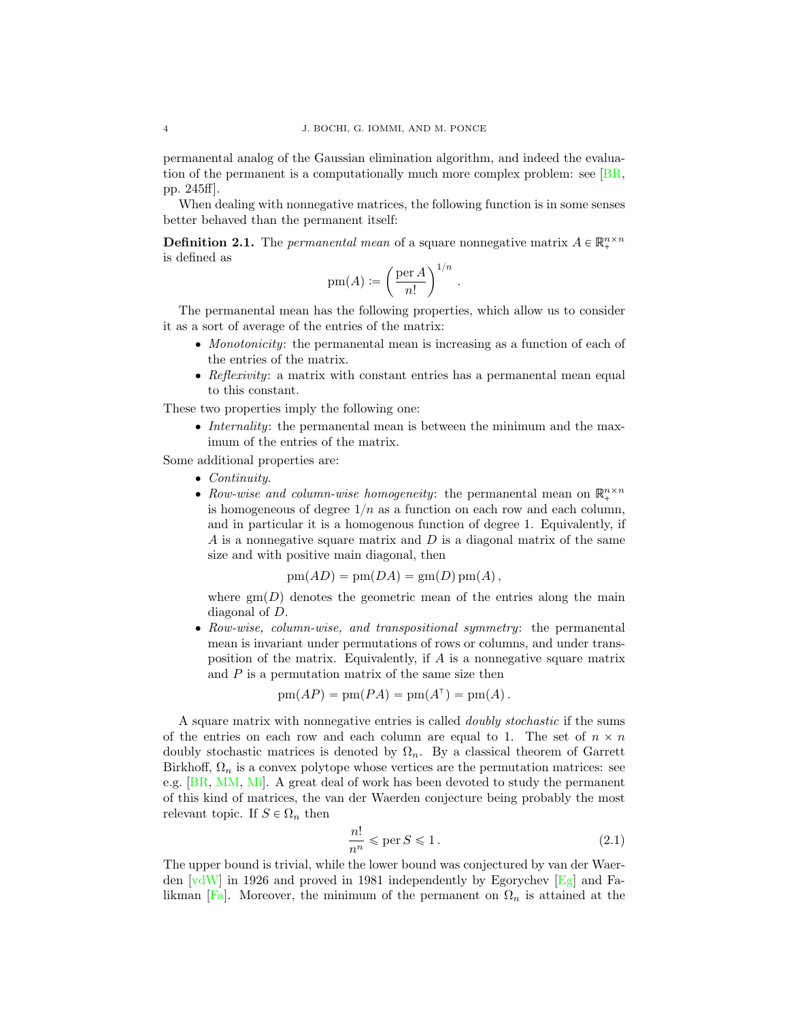permanental analog of the Gaussian elimination algorithm, and indeed the evaluation of the permanent is a computationally much more complex problem: see [\[BR,](#page-27-2) pp. 245ff].

When dealing with nonnegative matrices, the following function is in some senses better behaved than the permanent itself:

**Definition 2.1.** The *permanental mean* of a square nonnegative matrix  $A \in \mathbb{R}_+^{n \times n}$ is defined as

$$
\operatorname{pm}(A) := \left(\frac{\operatorname{per} A}{n!}\right)^{1/n}
$$

The permanental mean has the following properties, which allow us to consider it as a sort of average of the entries of the matrix:

' Monotonicity: the permanental mean is increasing as a function of each of the entries of the matrix.

.

 $\bullet$  Reflexivity: a matrix with constant entries has a permanental mean equal to this constant.

These two properties imply the following one:

• Internality: the permanental mean is between the minimum and the maximum of the entries of the matrix.

Some additional properties are:

- $\bullet$  Continuity.
- Row-wise and column-wise homogeneity: the permanental mean on  $\mathbb{R}^{n\times n}_+$ is homogeneous of degree  $1/n$  as a function on each row and each column, and in particular it is a homogenous function of degree 1. Equivalently, if A is a nonnegative square matrix and  $D$  is a diagonal matrix of the same size and with positive main diagonal, then

$$
pm(AD) = pm(DA) = gm(D)pm(A),
$$

where  $\text{gm}(D)$  denotes the geometric mean of the entries along the main diagonal of D.

' Row-wise, column-wise, and transpositional symmetry: the permanental mean is invariant under permutations of rows or columns, and under transposition of the matrix. Equivalently, if A is a nonnegative square matrix and  $P$  is a permutation matrix of the same size then

$$
pm(AP) = pm(PA) = pm(A\dagger) = pm(A).
$$

A square matrix with nonnegative entries is called doubly stochastic if the sums of the entries on each row and each column are equal to 1. The set of  $n \times n$ doubly stochastic matrices is denoted by  $\Omega_n$ . By a classical theorem of Garrett Birkhoff,  $\Omega_n$  is a convex polytope whose vertices are the permutation matrices: see e.g. [\[BR,](#page-27-2) [MM,](#page-27-3) [Mi\]](#page-28-0). A great deal of work has been devoted to study the permanent of this kind of matrices, the van der Waerden conjecture being probably the most relevant topic. If  $S \in \Omega_n$  then

<span id="page-3-0"></span>
$$
\frac{n!}{n^n} \leqslant \text{per } S \leqslant 1. \tag{2.1}
$$

The upper bound is trivial, while the lower bound was conjectured by van der Waerden  $\lceil v dW \rceil$  in 1926 and proved in 1981 independently by Egorychev  $\lceil \lg q \rceil$  and Fa-likman [\[Fa\]](#page-27-1). Moreover, the minimum of the permanent on  $\Omega_n$  is attained at the

<span id="page-3-1"></span>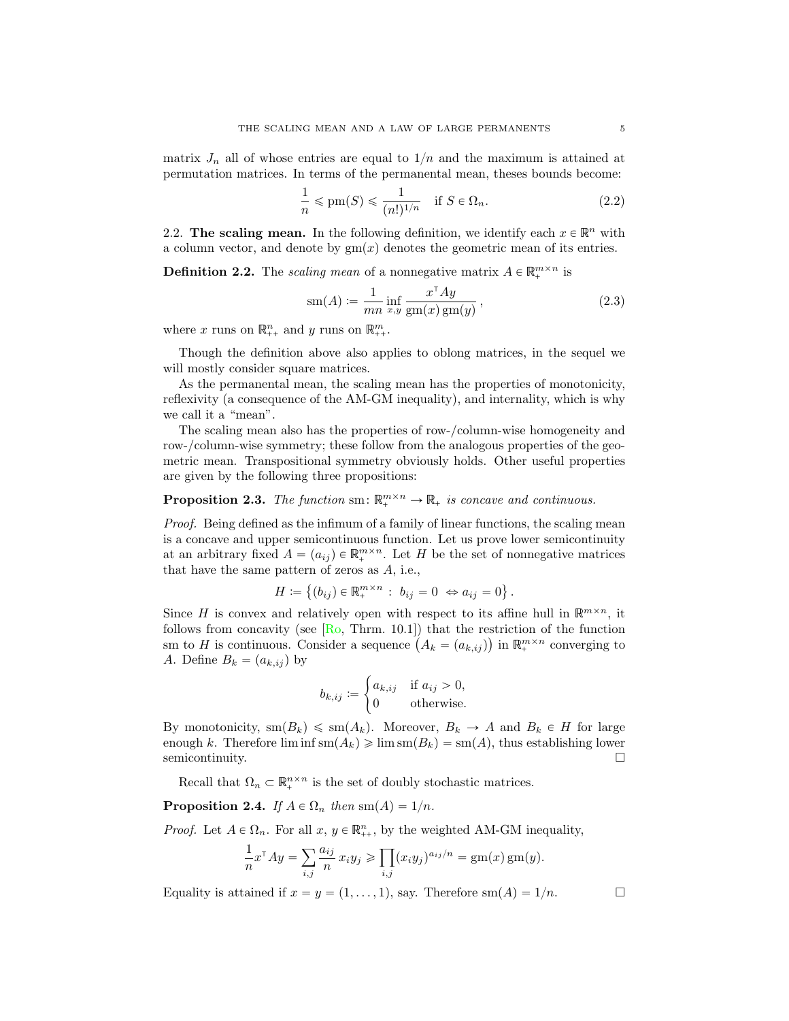<span id="page-4-6"></span>matrix  $J_n$  all of whose entries are equal to  $1/n$  and the maximum is attained at permutation matrices. In terms of the permanental mean, theses bounds become:

<span id="page-4-5"></span>
$$
\frac{1}{n} \le \text{pm}(S) \le \frac{1}{(n!)^{1/n}} \quad \text{if } S \in \Omega_n. \tag{2.2}
$$

<span id="page-4-0"></span>2.2. The scaling mean. In the following definition, we identify each  $x \in \mathbb{R}^n$  with a column vector, and denote by  $gm(x)$  denotes the geometric mean of its entries.

<span id="page-4-4"></span>**Definition 2.2.** The scaling mean of a nonnegative matrix  $A \in \mathbb{R}_+^{m \times n}$  is

<span id="page-4-1"></span>
$$
sm(A) := \frac{1}{mn} \inf_{x,y} \frac{x^{\top}Ay}{gm(x)gm(y)},
$$
\n(2.3)

where x runs on  $\mathbb{R}_{++}^n$  and y runs on  $\mathbb{R}_{++}^m$ .

Though the definition above also applies to oblong matrices, in the sequel we will mostly consider square matrices.

As the permanental mean, the scaling mean has the properties of monotonicity, reflexivity (a consequence of the AM-GM inequality), and internality, which is why we call it a "mean".

The scaling mean also has the properties of row-/column-wise homogeneity and row-/column-wise symmetry; these follow from the analogous properties of the geometric mean. Transpositional symmetry obviously holds. Other useful properties are given by the following three propositions:

# <span id="page-4-2"></span>**Proposition 2.3.** The function sm:  $\mathbb{R}^{m \times n}_{+} \to \mathbb{R}_{+}$  is concave and continuous.

Proof. Being defined as the infimum of a family of linear functions, the scaling mean is a concave and upper semicontinuous function. Let us prove lower semicontinuity at an arbitrary fixed  $A = (a_{ij}) \in \mathbb{R}^{m \times n}_{+}$ . Let H be the set of nonnegative matrices that have the same pattern of zeros as A, i.e.,

$$
H := \{ (b_{ij}) \in \mathbb{R}_+^{m \times n} : b_{ij} = 0 \iff a_{ij} = 0 \}.
$$

Since H is convex and relatively open with respect to its affine hull in  $\mathbb{R}^{m \times n}$ , it follows from concavity (see  $[R_0, Thrm. 10.1]$ ) that the restriction of the function sm to H is continuous. Consider a sequence  $(A_k = (a_{k,ij})$  in  $\mathbb{R}^{m \times n}_+$  converging to A. Define  $B_k = (a_{k,ij})$  by

$$
b_{k,ij} := \begin{cases} a_{k,ij} & \text{if } a_{ij} > 0, \\ 0 & \text{otherwise.} \end{cases}
$$

By monotonicity,  $\text{sm}(B_k) \leq \text{sm}(A_k)$ . Moreover,  $B_k \to A$  and  $B_k \in H$  for large enough k. Therefore  $\liminf \text{sm}(A_k) \geq \lim \text{sm}(B_k) = \text{sm}(A)$ , thus establishing lower semicontinuity. semicontinuity.

Recall that  $\Omega_n \subset \mathbb{R}^{n \times n}$  is the set of doubly stochastic matrices.

<span id="page-4-3"></span>**Proposition 2.4.** If  $A \in \Omega_n$  then  $\text{sm}(A) = 1/n$ .

*Proof.* Let  $A \in \Omega_n$ . For all  $x, y \in \mathbb{R}_{++}^n$ , by the weighted AM-GM inequality,

$$
\frac{1}{n}x^{\mathsf{T}}Ay = \sum_{i,j} \frac{a_{ij}}{n} x_i y_j \ge \prod_{i,j} (x_i y_j)^{a_{ij}/n} = \text{gm}(x)\,\text{gm}(y).
$$

Equality is attained if  $x = y = (1, \ldots, 1)$ , say. Therefore sm $(A) = 1/n$ .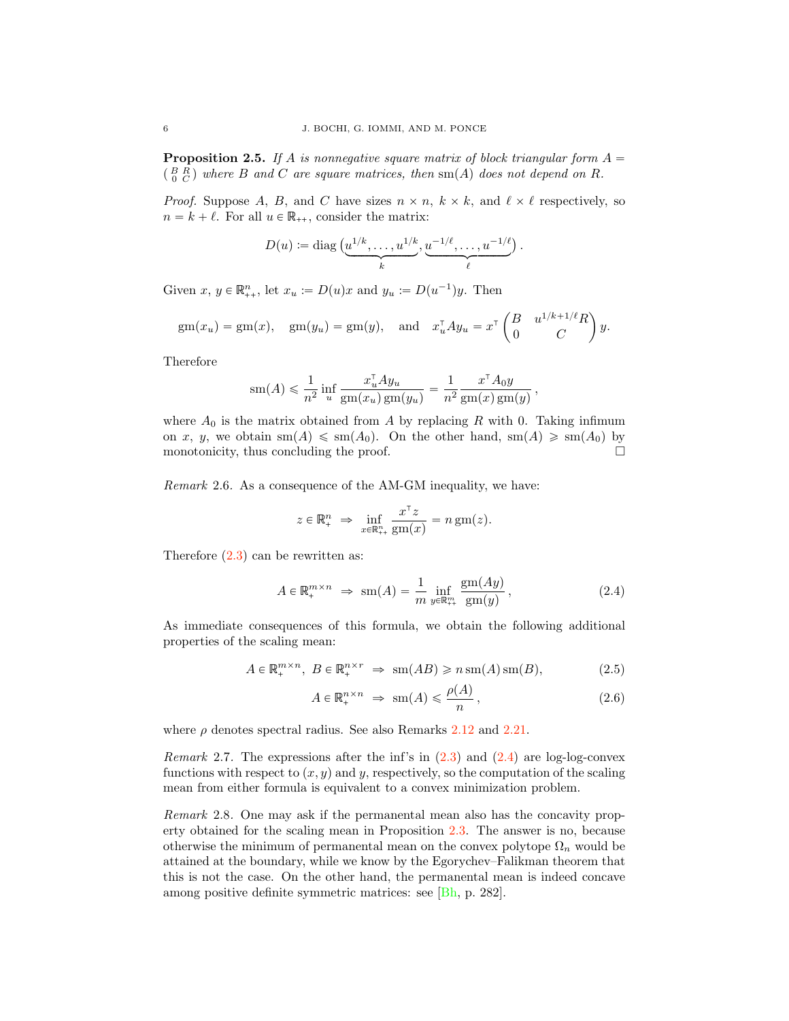<span id="page-5-3"></span><span id="page-5-2"></span>**Proposition 2.5.** If A is nonnegative square matrix of block triangular form  $A =$  $\binom{B}{0}\binom{B}{C}$  where B and C are square matrices, then sm(A) does not depend on R.

*Proof.* Suppose A, B, and C have sizes  $n \times n$ ,  $k \times k$ , and  $\ell \times \ell$  respectively, so  $n = k + \ell$ . For all  $u \in \mathbb{R}_{++}$ , consider the matrix:

$$
D(u) := \operatorname{diag}\left(\underbrace{u^{1/k}, \dots, u^{1/k}}_k, \underbrace{u^{-1/\ell}, \dots, u^{-1/\ell}}_\ell\right).
$$

Given  $x, y \in \mathbb{R}_{++}^n$ , let  $x_u := D(u)x$  and  $y_u := D(u^{-1})y$ . Then

$$
gm(x_u) = gm(x), \quad gm(y_u) = gm(y), \quad \text{and} \quad x_u^{\dagger} A y_u = x^{\dagger} \begin{pmatrix} B & u^{1/k+1/\ell} R \\ 0 & C \end{pmatrix} y.
$$

Therefore

$$
\operatorname{sm}(A) \leqslant \frac{1}{n^2} \inf_u \frac{x_u^{\mathsf{T}} A y_u}{\operatorname{gm}(x_u) \operatorname{gm}(y_u)} = \frac{1}{n^2} \frac{x^{\mathsf{T}} A_0 y}{\operatorname{gm}(x) \operatorname{gm}(y)},
$$

where  $A_0$  is the matrix obtained from A by replacing R with 0. Taking infimum on x, y, we obtain  $\text{sm}(A) \leq \text{sm}(A_0)$ . On the other hand,  $\text{sm}(A) \geq \text{sm}(A_0)$  by monotonicity thus concluding the proof monotonicity, thus concluding the proof.

Remark 2.6. As a consequence of the AM-GM inequality, we have:

$$
z \in \mathbb{R}^n_+ \implies \inf_{x \in \mathbb{R}^n_+} \frac{x^{\top} z}{\text{gm}(x)} = n \text{ gm}(z).
$$

Therefore  $(2.3)$  can be rewritten as:

<span id="page-5-0"></span>
$$
A \in \mathbb{R}_+^{m \times n} \implies \text{sm}(A) = \frac{1}{m} \inf_{y \in \mathbb{R}_+^m} \frac{\text{gm}(Ay)}{\text{gm}(y)},
$$
\n(2.4)

As immediate consequences of this formula, we obtain the following additional properties of the scaling mean:

$$
A \in \mathbb{R}_+^{m \times n}, \ B \in \mathbb{R}_+^{n \times r} \ \Rightarrow \ \mathrm{sm}(AB) \geqslant n \, \mathrm{sm}(A) \, \mathrm{sm}(B), \tag{2.5}
$$

<span id="page-5-1"></span>
$$
A \in \mathbb{R}_+^{n \times n} \implies \text{sm}(A) \leqslant \frac{\rho(A)}{n},\tag{2.6}
$$

where  $\rho$  denotes spectral radius. See also Remarks [2.12](#page-6-1) and [2.21.](#page-11-1)

*Remark* 2.7. The expressions after the inf's in  $(2.3)$  and  $(2.4)$  are log-log-convex functions with respect to  $(x, y)$  and y, respectively, so the computation of the scaling mean from either formula is equivalent to a convex minimization problem.

Remark 2.8. One may ask if the permanental mean also has the concavity property obtained for the scaling mean in Proposition [2.3.](#page-4-2) The answer is no, because otherwise the minimum of permanental mean on the convex polytope  $\Omega_n$  would be attained at the boundary, while we know by the Egorychev–Falikman theorem that this is not the case. On the other hand, the permanental mean is indeed concave among positive definite symmetric matrices: see [\[Bh,](#page-26-1) p. 282].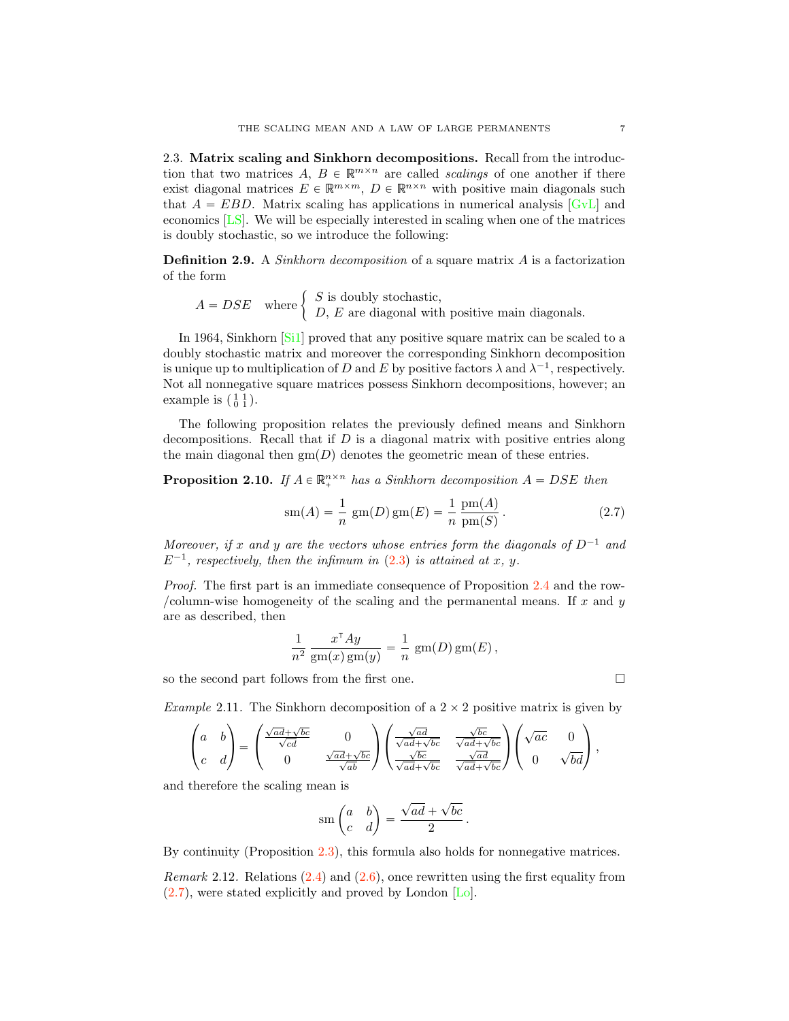<span id="page-6-4"></span><span id="page-6-0"></span>2.3. Matrix scaling and Sinkhorn decompositions. Recall from the introduction that two matrices A,  $B \in \mathbb{R}^{m \times n}$  are called scalings of one another if there exist diagonal matrices  $E \in \mathbb{R}^{m \times m}$ ,  $D \in \mathbb{R}^{n \times n}$  with positive main diagonals such that  $A = EBD$ . Matrix scaling has applications in numerical analysis  $[GvL]$  and economics [\[LS\]](#page-27-7). We will be especially interested in scaling when one of the matrices is doubly stochastic, so we introduce the following:

**Definition 2.9.** A *Sinkhorn decomposition* of a square matrix  $A$  is a factorization of the form

 $A = DSE$  where  $\begin{cases} S$  is doubly stochastic,<br>  $D, E$  are diagonal with positive main diagonals.

In 1964, Sinkhorn [\[Si1\]](#page-28-6) proved that any positive square matrix can be scaled to a doubly stochastic matrix and moreover the corresponding Sinkhorn decomposition is unique up to multiplication of D and E by positive factors  $\lambda$  and  $\lambda^{-1}$ , respectively. Not all nonnegative square matrices possess Sinkhorn decompositions, however; an example is  $\left(\begin{smallmatrix} 1 & 1 \\ 0 & 1 \end{smallmatrix}\right)$ .

The following proposition relates the previously defined means and Sinkhorn decompositions. Recall that if  $D$  is a diagonal matrix with positive entries along the main diagonal then  $\text{gm}(D)$  denotes the geometric mean of these entries.

<span id="page-6-3"></span>**Proposition 2.10.** If  $A \in \mathbb{R}^{n \times n}$  has a Sinkhorn decomposition  $A = DSE$  then

<span id="page-6-2"></span>
$$
sm(A) = \frac{1}{n} gm(D) gm(E) = \frac{1}{n} \frac{pm(A)}{pm(S)}.
$$
 (2.7)

Moreover, if x and y are the vectors whose entries form the diagonals of  $D^{-1}$  and  $E^{-1}$ , respectively, then the infimum in [\(2.3\)](#page-4-1) is attained at x, y.

Proof. The first part is an immediate consequence of Proposition [2.4](#page-4-3) and the row- /column-wise homogeneity of the scaling and the permanental means. If  $x$  and  $y$ are as described, then

$$
\frac{1}{n^2} \frac{x^{\mathsf{T}} Ay}{\operatorname{gm}(x)\operatorname{gm}(y)} = \frac{1}{n} \operatorname{gm}(D)\operatorname{gm}(E),
$$

so the second part follows from the first one.  $\Box$ 

Example 2.11. The Sinkhorn decomposition of a  $2 \times 2$  positive matrix is given by

$$
\begin{pmatrix} a & b \\ c & d \end{pmatrix} = \begin{pmatrix} \frac{\sqrt{ad} + \sqrt{bc}}{\sqrt{cd}} & 0 \\ 0 & \frac{\sqrt{ad} + \sqrt{bc}}{\sqrt{ab}} \end{pmatrix} \begin{pmatrix} \frac{\sqrt{ad}}{\sqrt{ad} + \sqrt{bc}} & \frac{\sqrt{bc}}{\sqrt{ad} + \sqrt{bc}} \\ \frac{\sqrt{bc}}{\sqrt{ad} + \sqrt{bc}} & \frac{\sqrt{ad}}{\sqrt{ad} + \sqrt{bc}} \end{pmatrix} \begin{pmatrix} \sqrt{ac} & 0 \\ 0 & \sqrt{bd} \end{pmatrix},
$$

and therefore the scaling mean is

$$
\operatorname{sm}\begin{pmatrix} a & b \\ c & d \end{pmatrix} = \frac{\sqrt{ad} + \sqrt{bc}}{2} \, .
$$

By continuity (Proposition [2.3\)](#page-4-2), this formula also holds for nonnegative matrices.

<span id="page-6-1"></span>*Remark* 2.12. Relations  $(2.4)$  and  $(2.6)$ , once rewritten using the first equality from [\(2.7\)](#page-6-2), were stated explicitly and proved by London [\[Lo\]](#page-27-5).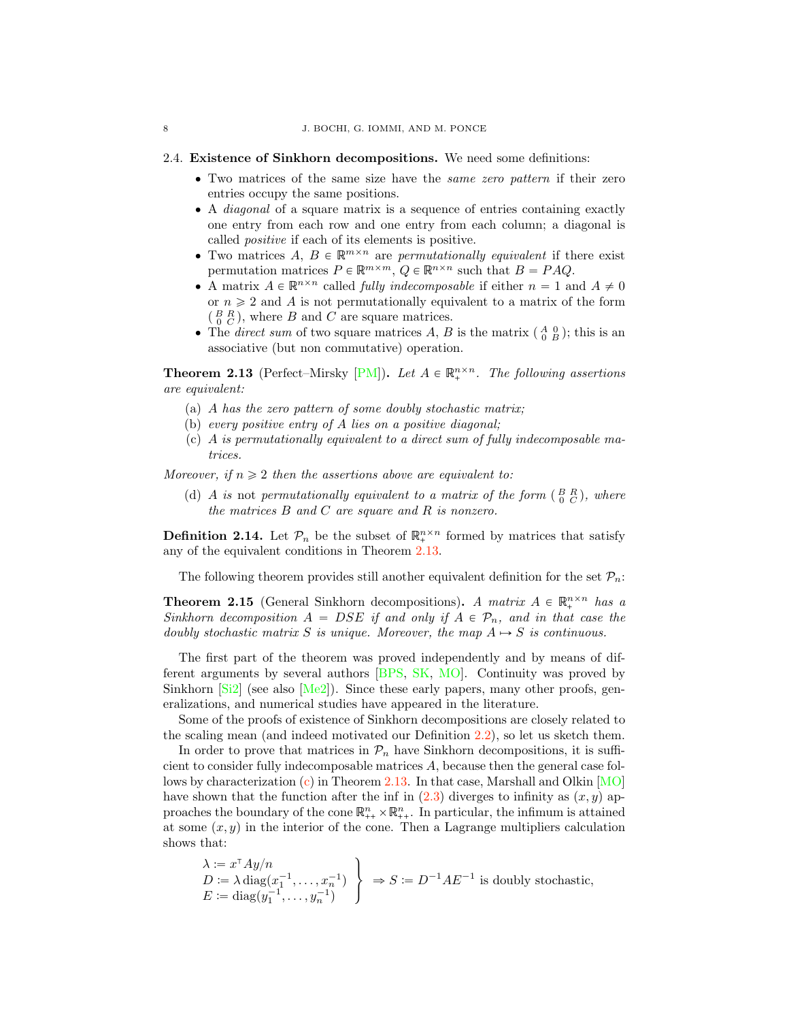#### <span id="page-7-6"></span>2.4. Existence of Sinkhorn decompositions. We need some definitions:

- ' Two matrices of the same size have the same zero pattern if their zero entries occupy the same positions.
- A *diagonal* of a square matrix is a sequence of entries containing exactly one entry from each row and one entry from each column; a diagonal is called positive if each of its elements is positive.
- Two matrices  $A, B \in \mathbb{R}^{m \times n}$  are permutationally equivalent if there exist permutation matrices  $P \in \mathbb{R}^{m \times m}$ ,  $Q \in \mathbb{R}^{n \times n}$  such that  $B = PAQ$ .
- A matrix  $A \in \mathbb{R}^{n \times n}$  called *fully indecomposable* if either  $n = 1$  and  $A \neq 0$ or  $n \geq 2$  and A is not permutationally equivalent to a matrix of the form  $\left(\begin{smallmatrix} B & R \\ 0 & C \end{smallmatrix}\right)$ , where B and C are square matrices.
- The direct sum of two square matrices A, B is the matrix  $\begin{pmatrix} A & 0 \\ 0 & B \end{pmatrix}$ ; this is an associative (but non commutative) operation.

<span id="page-7-0"></span>**Theorem 2.13** (Perfect–Mirsky [\[PM\]](#page-28-7)). Let  $A \in \mathbb{R}^{n \times n}$ . The following assertions are equivalent:

- (a) A has the zero pattern of some doubly stochastic matrix;
- <span id="page-7-2"></span>(b) every positive entry of A lies on a positive diagonal;
- <span id="page-7-1"></span>(c) A is permutationally equivalent to a direct sum of fully indecomposable matrices.

<span id="page-7-3"></span>Moreover, if  $n \geq 2$  then the assertions above are equivalent to:

(d) A is not permutationally equivalent to a matrix of the form  $\begin{pmatrix} B & R \\ 0 & C \end{pmatrix}$ , where the matrices  $B$  and  $C$  are square and  $R$  is nonzero.

<span id="page-7-5"></span>**Definition 2.14.** Let  $\mathcal{P}_n$  be the subset of  $\mathbb{R}^{n \times n}_+$  formed by matrices that satisfy any of the equivalent conditions in Theorem [2.13.](#page-7-0)

The following theorem provides still another equivalent definition for the set  $P_n$ .

<span id="page-7-4"></span>**Theorem 2.15** (General Sinkhorn decompositions). A matrix  $A \in \mathbb{R}^{n \times n}$  has a Sinkhorn decomposition  $A = DSE$  if and only if  $A \in \mathcal{P}_n$ , and in that case the doubly stochastic matrix S is unique. Moreover, the map  $A \mapsto S$  is continuous.

The first part of the theorem was proved independently and by means of different arguments by several authors [\[BPS,](#page-27-8) [SK,](#page-28-8) [MO\]](#page-27-9). Continuity was proved by Sinkhorn  $[Si2]$  (see also  $[Me2]$ ). Since these early papers, many other proofs, generalizations, and numerical studies have appeared in the literature.

Some of the proofs of existence of Sinkhorn decompositions are closely related to the scaling mean (and indeed motivated our Definition [2.2\)](#page-4-4), so let us sketch them.

In order to prove that matrices in  $\mathcal{P}_n$  have Sinkhorn decompositions, it is sufficient to consider fully indecomposable matrices A, because then the general case follows by characterization [\(c\)](#page-7-1) in Theorem [2.13.](#page-7-0) In that case, Marshall and Olkin [\[MO\]](#page-27-9) have shown that the function after the inf in  $(2.3)$  diverges to infinity as  $(x, y)$  approaches the boundary of the cone  $\mathbb{R}_{++}^n \times \mathbb{R}_{++}^n$ . In particular, the infimum is attained at some  $(x, y)$  in the interior of the cone. Then a Lagrange multipliers calculation shows that:

$$
\lambda := x^{\top} A y/n
$$
  
\n
$$
D := \lambda \operatorname{diag}(x_1^{-1}, \dots, x_n^{-1})
$$
  
\n
$$
E := \operatorname{diag}(y_1^{-1}, \dots, y_n^{-1})
$$
  
\n
$$
\Rightarrow S := D^{-1} A E^{-1}
$$
 is doubly stochastic,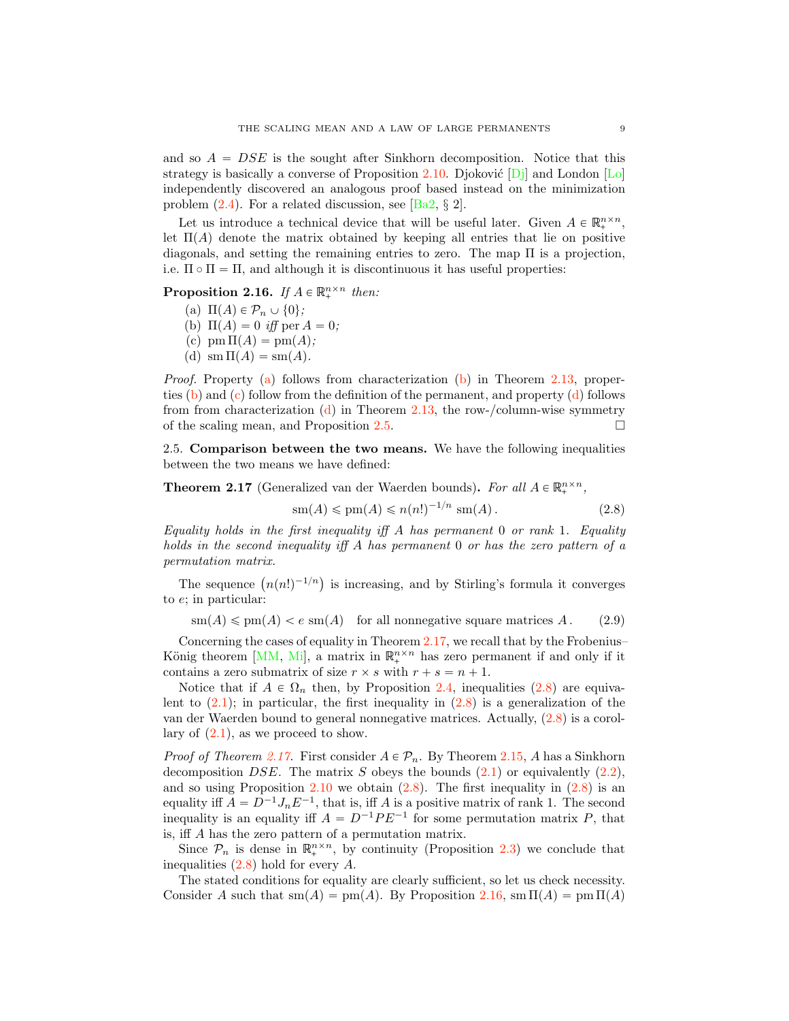<span id="page-8-9"></span>and so  $A = DSE$  is the sought after Sinkhorn decomposition. Notice that this strategy is basically a converse of Proposition [2.10.](#page-6-3) Djoković  $[D_i]$  and London  $[L_0]$ independently discovered an analogous proof based instead on the minimization problem [\(2.4\)](#page-5-0). For a related discussion, see [\[Ba2,](#page-26-2) *§* 2].

Let us introduce a technical device that will be useful later. Given  $A \in \mathbb{R}^{n \times n}_+$ , let  $\Pi(A)$  denote the matrix obtained by keeping all entries that lie on positive diagonals, and setting the remaining entries to zero. The map  $\Pi$  is a projection, i.e.  $\Pi \circ \Pi = \Pi$ , and although it is discontinuous it has useful properties:

<span id="page-8-2"></span><span id="page-8-1"></span>**Proposition 2.16.** If  $A \in \mathbb{R}^{n \times n}_{+}$  then:

- (a)  $\Pi(A) \in \mathcal{P}_n \cup \{0\};$
- <span id="page-8-3"></span>(b)  $\Pi(A) = 0$  iff per  $A = 0$ ;
- <span id="page-8-4"></span>(c)  $\text{pm }\Pi(A) = \text{pm}(A);$
- <span id="page-8-5"></span>(d)  $\operatorname{sm} \Pi(A) = \operatorname{sm}(A)$ .

*Proof.* Property [\(a\)](#page-8-2) follows from characterization [\(b\)](#page-7-2) in Theorem [2.13,](#page-7-0) properties [\(b\)](#page-8-3) and [\(c\)](#page-8-4) follow from the definition of the permanent, and property [\(d\)](#page-8-5) follows from from characterization  $(d)$  in Theorem [2.13,](#page-7-0) the row-/column-wise symmetry of the scaling mean, and Proposition [2.5.](#page-5-2)  $\Box$ 

<span id="page-8-0"></span>2.5. Comparison between the two means. We have the following inequalities between the two means we have defined:

<span id="page-8-6"></span>**Theorem 2.17** (Generalized van der Waerden bounds). For all  $A \in \mathbb{R}_+^{n \times n}$ ,

<span id="page-8-7"></span>
$$
\operatorname{sm}(A) \leqslant \operatorname{pm}(A) \leqslant n(n!)^{-1/n} \operatorname{sm}(A). \tag{2.8}
$$

Equality holds in the first inequality iff  $A$  has permanent 0 or rank 1. Equality holds in the second inequality iff A has permanent 0 or has the zero pattern of a permutation matrix.

The sequence  $(n(n!)^{-1/n})$  is increasing, and by Stirling's formula it converges to e; in particular:

<span id="page-8-8"></span> $\operatorname{sm}(A) \le \operatorname{pm}(A) < e \operatorname{sm}(A)$  for all nonnegative square matrices A. (2.9)

Concerning the cases of equality in Theorem [2.17,](#page-8-6) we recall that by the Frobenius– König theorem [\[MM,](#page-27-3) [Mi\]](#page-28-0), a matrix in  $\mathbb{R}^{n \times n}$  has zero permanent if and only if it contains a zero submatrix of size  $r \times s$  with  $r + s = n + 1$ .

Notice that if  $A \in \Omega_n$  then, by Proposition [2.4,](#page-4-3) inequalities [\(2.8\)](#page-8-7) are equivalent to  $(2.1)$ ; in particular, the first inequality in  $(2.8)$  is a generalization of the van der Waerden bound to general nonnegative matrices. Actually, [\(2.8\)](#page-8-7) is a corollary of  $(2.1)$ , as we proceed to show.

*Proof of Theorem [2.17.](#page-8-6)* First consider  $A \in \mathcal{P}_n$ . By Theorem [2.15,](#page-7-4) A has a Sinkhorn decomposition DSE. The matrix S obeys the bounds  $(2.1)$  or equivalently  $(2.2)$ , and so using Proposition  $2.10$  we obtain  $(2.8)$ . The first inequality in  $(2.8)$  is an equality iff  $A = D^{-1}J_nE^{-1}$ , that is, iff A is a positive matrix of rank 1. The second inequality is an equality iff  $A = D^{-1}PE^{-1}$  for some permutation matrix P, that is, iff A has the zero pattern of a permutation matrix.

Since  $\mathcal{P}_n$  is dense in  $\mathbb{R}^{n \times n}_+$ , by continuity (Proposition [2.3\)](#page-4-2) we conclude that inequalities  $(2.8)$  hold for every A.

The stated conditions for equality are clearly sufficient, so let us check necessity. Consider A such that  $\text{sm}(A) = \text{pm}(A)$ . By Proposition [2.16,](#page-8-1)  $\text{sm }\Pi(A) = \text{pm }\Pi(A)$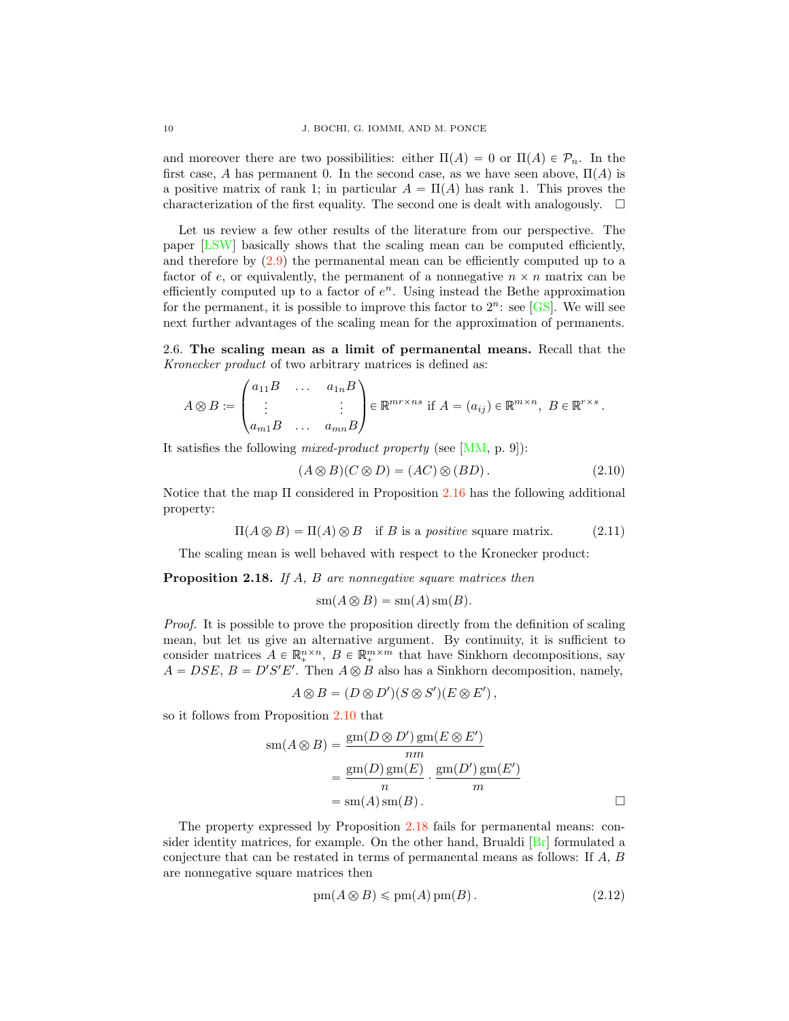<span id="page-9-5"></span>and moreover there are two possibilities: either  $\Pi(A) = 0$  or  $\Pi(A) \in \mathcal{P}_n$ . In the first case, A has permanent 0. In the second case, as we have seen above,  $\Pi(A)$  is a positive matrix of rank 1; in particular  $A = \Pi(A)$  has rank 1. This proves the characterization of the first equality. The second one is dealt with analogously.  $\Box$ 

Let us review a few other results of the literature from our perspective. The paper [\[LSW\]](#page-27-12) basically shows that the scaling mean can be computed efficiently, and therefore by [\(2.9\)](#page-8-8) the permanental mean can be efficiently computed up to a factor of e, or equivalently, the permanent of a nonnegative  $n \times n$  matrix can be efficiently computed up to a factor of  $e^n$ . Using instead the Bethe approximation for the permanent, it is possible to improve this factor to  $2^n$ : see [\[GS\]](#page-27-13). We will see next further advantages of the scaling mean for the approximation of permanents.

<span id="page-9-0"></span>2.6. The scaling mean as a limit of permanental means. Recall that the Kronecker product of two arbitrary matrices is defined as:

$$
A \otimes B := \begin{pmatrix} a_{11}B & \dots & a_{1n}B \\ \vdots & & \vdots \\ a_{m1}B & \dots & a_{mn}B \end{pmatrix} \in \mathbb{R}^{mr \times ns} \text{ if } A = (a_{ij}) \in \mathbb{R}^{m \times n}, \ B \in \mathbb{R}^{r \times s}.
$$

It satisfies the following mixed-product property (see [\[MM,](#page-27-3) p. 9]):

<span id="page-9-3"></span>
$$
(A \otimes B)(C \otimes D) = (AC) \otimes (BD). \tag{2.10}
$$

Notice that the map Π considered in Proposition [2.16](#page-8-1) has the following additional property:

<span id="page-9-4"></span>
$$
\Pi(A \otimes B) = \Pi(A) \otimes B \quad \text{if } B \text{ is a positive square matrix.} \tag{2.11}
$$

The scaling mean is well behaved with respect to the Kronecker product:

<span id="page-9-1"></span>**Proposition 2.18.** If A, B are nonnegative square matrices then

$$
\mathrm{sm}(A \otimes B) = \mathrm{sm}(A) \mathrm{sm}(B).
$$

Proof. It is possible to prove the proposition directly from the definition of scaling mean, but let us give an alternative argument. By continuity, it is sufficient to consider matrices  $A \in \mathbb{R}_+^{n \times n}$ ,  $B \in \mathbb{R}_+^{m \times m}$  that have Sinkhorn decompositions, say  $A = DSE$ ,  $B = D'S'E'$ . Then  $A \otimes B$  also has a Sinkhorn decomposition, namely,

$$
A \otimes B = (D \otimes D')(S \otimes S')(E \otimes E'),
$$

so it follows from Proposition [2.10](#page-6-3) that

$$
sm(A \otimes B) = \frac{gm(D \otimes D')gm(E \otimes E')}{nm}
$$
  
= 
$$
\frac{gm(D)gm(E)}{n} \cdot \frac{gm(D')gm(E')}{m}
$$
  
= 
$$
sm(A) sm(B).
$$

The property expressed by Proposition [2.18](#page-9-1) fails for permanental means: consider identity matrices, for example. On the other hand, Brualdi  $[Br]$  formulated a conjecture that can be restated in terms of permanental means as follows: If A, B are nonnegative square matrices then

<span id="page-9-2"></span>
$$
pm(A \otimes B) \leq p m(A) pm(B). \tag{2.12}
$$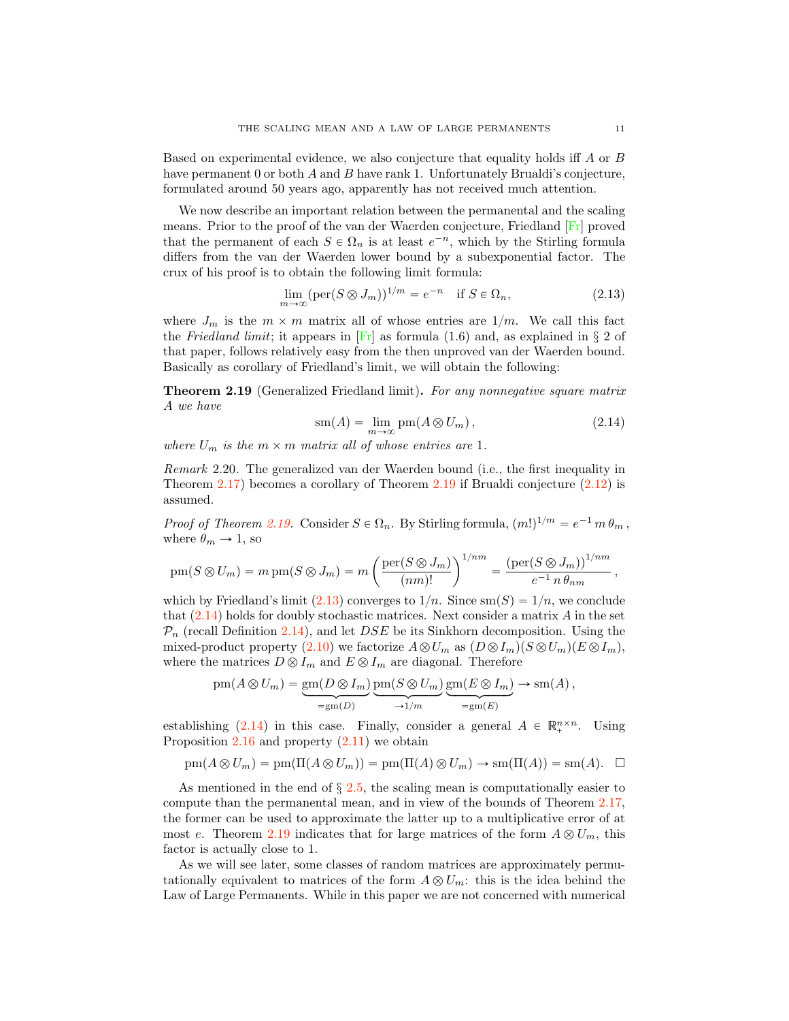<span id="page-10-3"></span>Based on experimental evidence, we also conjecture that equality holds iff A or B have permanent 0 or both A and B have rank 1. Unfortunately Brualdi's conjecture, formulated around 50 years ago, apparently has not received much attention.

We now describe an important relation between the permanental and the scaling means. Prior to the proof of the van der Waerden conjecture, Friedland [\[Fr\]](#page-27-14) proved that the permanent of each  $S \in \Omega_n$  is at least  $e^{-n}$ , which by the Stirling formula differs from the van der Waerden lower bound by a subexponential factor. The crux of his proof is to obtain the following limit formula:

<span id="page-10-1"></span>
$$
\lim_{m \to \infty} (\text{per}(S \otimes J_m))^{1/m} = e^{-n} \quad \text{if } S \in \Omega_n,
$$
\n(2.13)

where  $J_m$  is the  $m \times m$  matrix all of whose entries are  $1/m$ . We call this fact the Friedland limit; it appears in [\[Fr\]](#page-27-14) as formula (1.6) and, as explained in *§* 2 of that paper, follows relatively easy from the then unproved van der Waerden bound. Basically as corollary of Friedland's limit, we will obtain the following:

<span id="page-10-0"></span>Theorem 2.19 (Generalized Friedland limit). For any nonnegative square matrix A we have

<span id="page-10-2"></span>
$$
sm(A) = \lim_{m \to \infty} pm(A \otimes U_m), \qquad (2.14)
$$

where  $U_m$  is the  $m \times m$  matrix all of whose entries are 1.

Remark 2.20. The generalized van der Waerden bound (i.e., the first inequality in Theorem [2.17\)](#page-8-6) becomes a corollary of Theorem [2.19](#page-10-0) if Brualdi conjecture [\(2.12\)](#page-9-2) is assumed.

*Proof of Theorem [2.19.](#page-10-0)* Consider  $S \in \Omega_n$ . By Stirling formula,  $(m!)^{1/m} = e^{-1} m \theta_m$ , where  $\theta_m \rightarrow 1$ , so

$$
pm(S \otimes U_m) = m pm(S \otimes J_m) = m \left( \frac{per(S \otimes J_m)}{(nm)!} \right)^{1/nm} = \frac{(per(S \otimes J_m))^{1/nm}}{e^{-1} n \theta_{nm}},
$$

which by Friedland's limit [\(2.13\)](#page-10-1) converges to  $1/n$ . Since  $\text{sm}(S) = 1/n$ , we conclude that  $(2.14)$  holds for doubly stochastic matrices. Next consider a matrix A in the set  $P_n$  (recall Definition [2.14\)](#page-7-5), and let *DSE* be its Sinkhorn decomposition. Using the mixed-product property [\(2.10\)](#page-9-3) we factorize  $A \otimes U_m$  as  $(D \otimes I_m)(S \otimes U_m)(E \otimes I_m)$ , where the matrices  $D \otimes I_m$  and  $E \otimes I_m$  are diagonal. Therefore

$$
pm(A \otimes U_m) = \underbrace{gm(D \otimes I_m)}_{=gm(D)} \underbrace{pm(S \otimes U_m)}_{\rightarrow 1/m} \underbrace{gm(E \otimes I_m)}_{=gm(E)} \rightarrow sm(A),
$$

establishing [\(2.14\)](#page-10-2) in this case. Finally, consider a general  $A \in \mathbb{R}^{n \times n}_{+}$ . Using Proposition [2.16](#page-8-1) and property [\(2.11\)](#page-9-4) we obtain

$$
pm(A \otimes U_m) = pm(\Pi(A \otimes U_m)) = pm(\Pi(A) \otimes U_m) \rightarrow sm(\Pi(A)) = sm(A). \quad \Box
$$

As mentioned in the end of *§* [2.5,](#page-8-0) the scaling mean is computationally easier to compute than the permanental mean, and in view of the bounds of Theorem [2.17,](#page-8-6) the former can be used to approximate the latter up to a multiplicative error of at most e. Theorem [2.19](#page-10-0) indicates that for large matrices of the form  $A \otimes U_m$ , this factor is actually close to 1.

As we will see later, some classes of random matrices are approximately permutationally equivalent to matrices of the form  $A \otimes U_m$ : this is the idea behind the Law of Large Permanents. While in this paper we are not concerned with numerical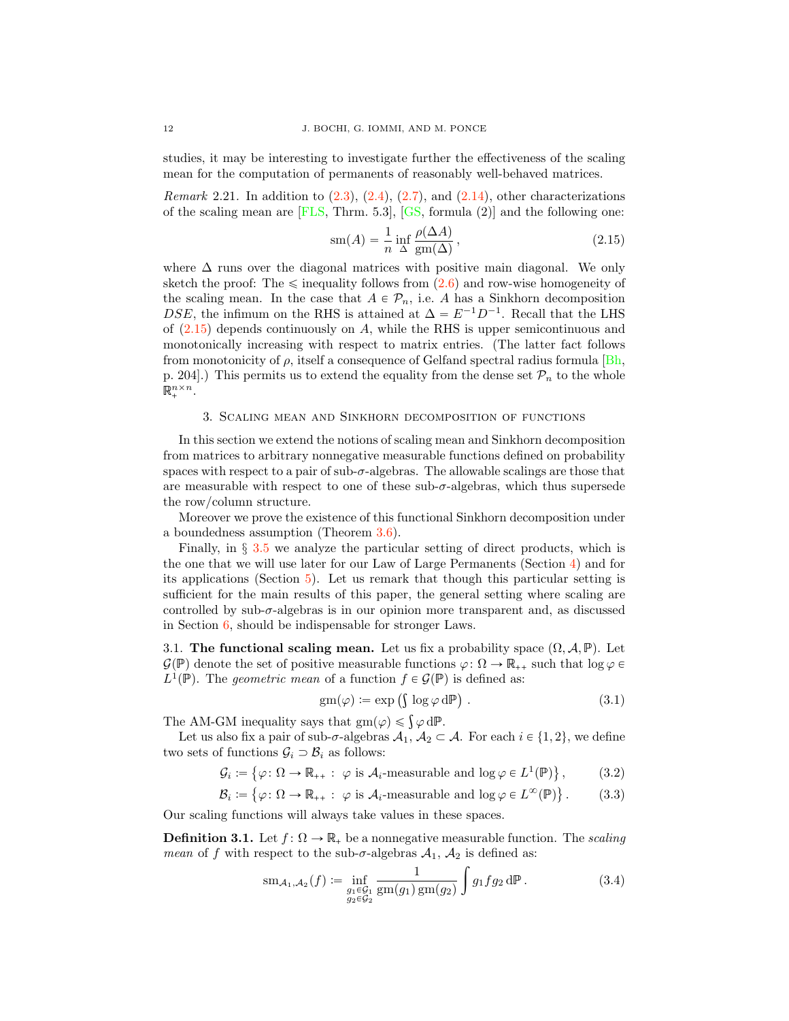<span id="page-11-7"></span>studies, it may be interesting to investigate further the effectiveness of the scaling mean for the computation of permanents of reasonably well-behaved matrices.

<span id="page-11-1"></span>*Remark* 2.21. In addition to  $(2.3)$ ,  $(2.4)$ ,  $(2.7)$ , and  $(2.14)$ , other characterizations of the scaling mean are  $[FLS, Thrm. 5.3], [GS, formula (2)]$  $[FLS, Thrm. 5.3], [GS, formula (2)]$  $[FLS, Thrm. 5.3], [GS, formula (2)]$  $[FLS, Thrm. 5.3], [GS, formula (2)]$  and the following one:

<span id="page-11-2"></span>
$$
sm(A) = \frac{1}{n} \inf_{\Delta} \frac{\rho(\Delta A)}{gm(\Delta)},
$$
\n(2.15)

where  $\Delta$  runs over the diagonal matrices with positive main diagonal. We only sketch the proof: The  $\leq$  inequality follows from  $(2.6)$  and row-wise homogeneity of the scaling mean. In the case that  $A \in \mathcal{P}_n$ , i.e. A has a Sinkhorn decomposition DSE, the infimum on the RHS is attained at  $\Delta = E^{-1}D^{-1}$ . Recall that the LHS of  $(2.15)$  depends continuously on A, while the RHS is upper semicontinuous and monotonically increasing with respect to matrix entries. (The latter fact follows from monotonicity of  $\rho$ , itself a consequence of Gelfand spectral radius formula [\[Bh,](#page-26-1) p. 204].) This permits us to extend the equality from the dense set  $\mathcal{P}_n$  to the whole  $\mathbb{R}^{n \times n}_+$ .

### 3. Scaling mean and Sinkhorn decomposition of functions

<span id="page-11-0"></span>In this section we extend the notions of scaling mean and Sinkhorn decomposition from matrices to arbitrary nonnegative measurable functions defined on probability spaces with respect to a pair of sub- $\sigma$ -algebras. The allowable scalings are those that are measurable with respect to one of these sub- $\sigma$ -algebras, which thus supersede the row/column structure.

Moreover we prove the existence of this functional Sinkhorn decomposition under a boundedness assumption (Theorem [3.6\)](#page-13-0).

Finally, in *§* [3.5](#page-15-0) we analyze the particular setting of direct products, which is the one that we will use later for our Law of Large Permanents (Section [4\)](#page-17-1) and for its applications (Section [5\)](#page-23-0). Let us remark that though this particular setting is sufficient for the main results of this paper, the general setting where scaling are controlled by  $sub-σ$ -algebras is in our opinion more transparent and, as discussed in Section [6,](#page-25-0) should be indispensable for stronger Laws.

3.1. The functional scaling mean. Let us fix a probability space  $(\Omega, \mathcal{A}, \mathbb{P})$ . Let  $\mathcal{G}(\mathbb{P})$  denote the set of positive measurable functions  $\varphi \colon \Omega \to \mathbb{R}_{++}$  such that  $\log \varphi \in$  $L^1(\mathbb{P})$ . The *geometric mean* of a function  $f \in \mathcal{G}(\mathbb{P})$  is defined as:

<span id="page-11-6"></span><span id="page-11-5"></span><span id="page-11-4"></span>
$$
gm(\varphi) := \exp\left(\int \log \varphi \, d\mathbb{P}\right) \,. \tag{3.1}
$$

The AM-GM inequality says that  $gm(\varphi) \leq \int \varphi \, dP$ .

Let us also fix a pair of sub- $\sigma$ -algebras  $\mathcal{A}_1, \mathcal{A}_2 \subset \mathcal{A}$ . For each  $i \in \{1, 2\}$ , we define two sets of functions  $\mathcal{G}_i \supset \mathcal{B}_i$  as follows:

> $\mathcal{G}_i := \{ \varphi \colon \Omega \to \mathbb{R}_{++} : \varphi \text{ is } \mathcal{A}_i\text{-measurable and } \log \varphi \in L^1(\mathbb{P}) \}$  $(3.2)$

> $\mathcal{B}_i := \{ \varphi \colon \Omega \to \mathbb{R}_{++} : \varphi \text{ is } \mathcal{A}_i\text{-measurable and } \log \varphi \in L^\infty(\mathbb{P}) \}$  $(3.3)$

Our scaling functions will always take values in these spaces.

**Definition 3.1.** Let  $f: \Omega \to \mathbb{R}_+$  be a nonnegative measurable function. The scaling *mean* of f with respect to the sub- $\sigma$ -algebras  $A_1$ ,  $A_2$  is defined as:

<span id="page-11-3"></span>
$$
sm_{\mathcal{A}_1, \mathcal{A}_2}(f) := \inf_{\substack{g_1 \in \mathcal{G}_1 \\ g_2 \in \mathcal{G}_2}} \frac{1}{\text{gm}(g_1)\,\text{gm}(g_2)} \int g_1 f g_2 \,d\mathbb{P} \,. \tag{3.4}
$$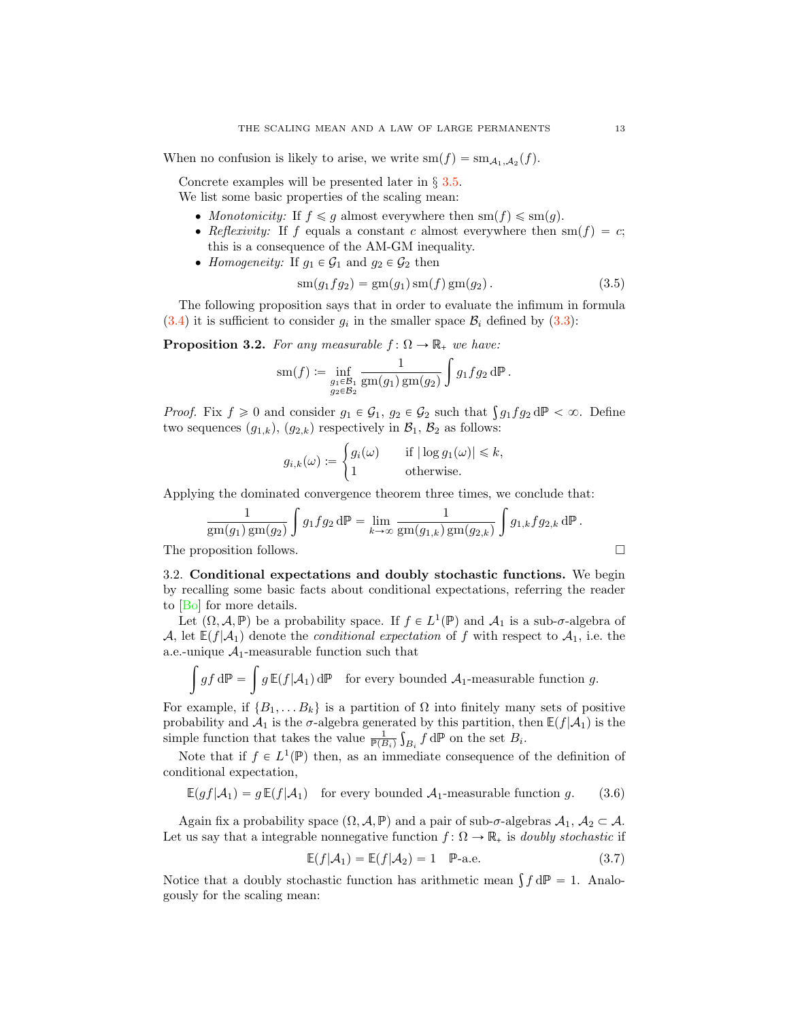<span id="page-12-4"></span>When no confusion is likely to arise, we write  $\text{sm}(f) = \text{sm}_{A_1,A_2}(f)$ .

Concrete examples will be presented later in *§* [3.5.](#page-15-0) We list some basic properties of the scaling mean:

- Monotonicity: If  $f \leq g$  almost everywhere then  $sm(f) \leq sm(g)$ .
- Reflexivity: If f equals a constant c almost everywhere then  $sm(f) = c$ ; this is a consequence of the AM-GM inequality.
- Homogeneity: If  $g_1 \in \mathcal{G}_1$  and  $g_2 \in \mathcal{G}_2$  then

<span id="page-12-2"></span>
$$
sm(g_1fg_2) = gm(g_1) \, sm(f) \, gm(g_2) \,. \tag{3.5}
$$

The following proposition says that in order to evaluate the infimum in formula  $(3.4)$  it is sufficient to consider  $g_i$  in the smaller space  $B_i$  defined by  $(3.3)$ :

<span id="page-12-1"></span>**Proposition 3.2.** For any measurable  $f: \Omega \to \mathbb{R}_+$  we have:

$$
\operatorname{sm}(f) \coloneqq \inf_{\substack{g_1 \in \mathcal{B}_1 \\ g_2 \in \mathcal{B}_2}} \frac{1}{\operatorname{gm}(g_1)\operatorname{gm}(g_2)} \int g_1 f g_2 \, \mathrm{d} \mathbb{P} \, .
$$

*Proof.* Fix  $f \ge 0$  and consider  $g_1 \in \mathcal{G}_1$ ,  $g_2 \in \mathcal{G}_2$  such that  $\int g_1 f g_2 d\mathbb{P} < \infty$ . Define two sequences  $(g_{1,k}), (g_{2,k})$  respectively in  $\mathcal{B}_1, \mathcal{B}_2$  as follows:

$$
g_{i,k}(\omega) := \begin{cases} g_i(\omega) & \text{if } |\log g_1(\omega)| \leq k, \\ 1 & \text{otherwise.} \end{cases}
$$

Applying the dominated convergence theorem three times, we conclude that:

$$
\frac{1}{\text{gm}(g_1)\text{gm}(g_2)} \int g_1 f g_2 \, d\mathbb{P} = \lim_{k \to \infty} \frac{1}{\text{gm}(g_{1,k})\text{gm}(g_{2,k})} \int g_{1,k} f g_{2,k} \, d\mathbb{P}.
$$
\nThe proposition follows.

<span id="page-12-3"></span>3.2. Conditional expectations and doubly stochastic functions. We begin by recalling some basic facts about conditional expectations, referring the reader to [\[Bo\]](#page-26-4) for more details.

Let  $(\Omega, \mathcal{A}, \mathbb{P})$  be a probability space. If  $f \in L^1(\mathbb{P})$  and  $\mathcal{A}_1$  is a sub- $\sigma$ -algebra of *A*, let  $E(f|A_1)$  denote the *conditional expectation* of f with respect to  $A_1$ , i.e. the a.e.-unique  $A_1$ -measurable function such that

$$
\int gf \, d\mathbb{P} = \int g \, \mathbb{E}(f|\mathcal{A}_1) \, d\mathbb{P} \quad \text{for every bounded } \mathcal{A}_1\text{-measurable function } g.
$$

For example, if  $\{B_1, \ldots B_k\}$  is a partition of  $\Omega$  into finitely many sets of positive probability and  $A_1$  is the  $\sigma$ -algebra generated by this partition, then  $\mathbb{E}(f|A_1)$  is the simple function that takes the value  $\frac{1}{\mathbb{P}(B_i)} \int_{B_i} f d\mathbb{P}$  on the set  $B_i$ .

Note that if  $f \in L^1(\mathbb{P})$  then, as an immediate consequence of the definition of conditional expectation,

<span id="page-12-0"></span>
$$
\mathbb{E}(gf|\mathcal{A}_1) = g \mathbb{E}(f|\mathcal{A}_1) \quad \text{for every bounded } \mathcal{A}_1\text{-measurable function } g. \tag{3.6}
$$

Again fix a probability space  $(\Omega, \mathcal{A}, \mathbb{P})$  and a pair of sub- $\sigma$ -algebras  $\mathcal{A}_1, \mathcal{A}_2 \subset \mathcal{A}$ . Let us say that a integrable nonnegative function  $f: \Omega \to \mathbb{R}_+$  is *doubly stochastic* if

$$
\mathbb{E}(f|\mathcal{A}_1) = \mathbb{E}(f|\mathcal{A}_2) = 1 \quad \mathbb{P}\text{-a.e.}\tag{3.7}
$$

Notice that a doubly stochastic function has arithmetic mean  $\int f dP = 1$ . Analogously for the scaling mean: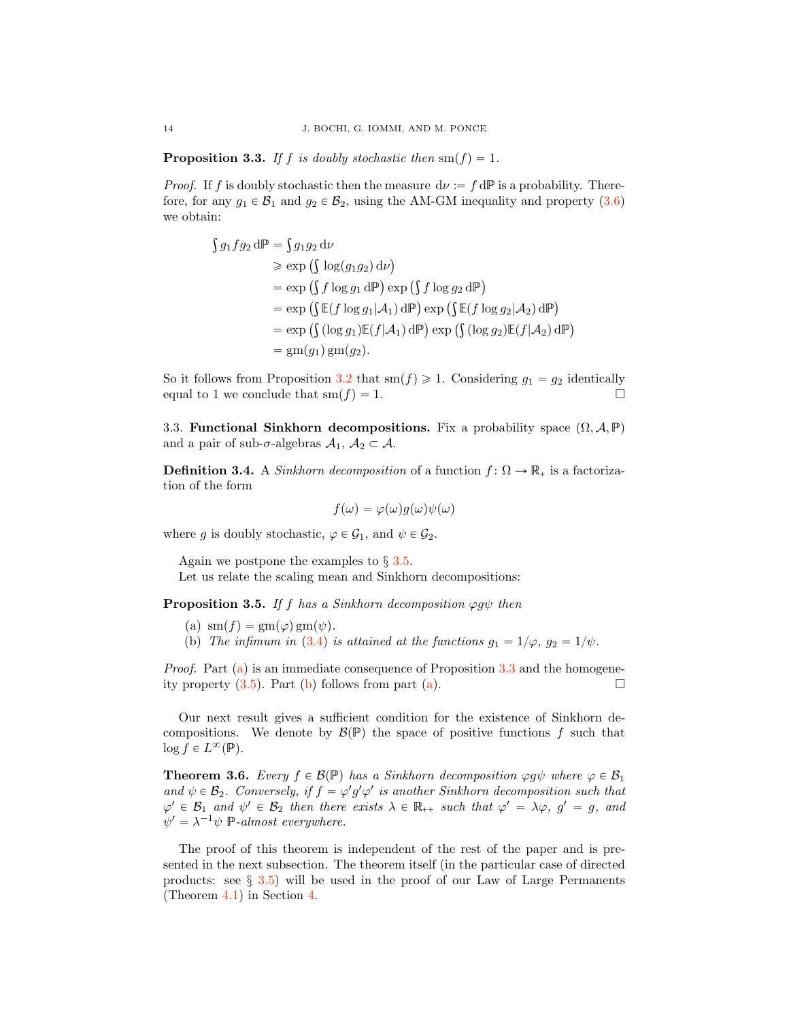<span id="page-13-2"></span>**Proposition 3.3.** If f is doubly stochastic then  $\text{sm}(f) = 1$ .

*Proof.* If f is doubly stochastic then the measure  $d\nu := f dP$  is a probability. Therefore, for any  $g_1 \in \mathcal{B}_1$  and  $g_2 \in \mathcal{B}_2$ , using the AM-GM inequality and property [\(3.6\)](#page-12-0) we obtain:

$$
\begin{aligned}\n\int g_1 f g_2 \, d\mathbb{P} &= \int g_1 g_2 \, d\nu \\
&\geq \exp\left(\int \log(g_1 g_2) \, d\nu\right) \\
&= \exp\left(\int f \log g_1 \, d\mathbb{P}\right) \exp\left(\int f \log g_2 \, d\mathbb{P}\right) \\
&= \exp\left(\int \mathbb{E}(f \log g_1 | \mathcal{A}_1) \, d\mathbb{P}\right) \exp\left(\int \mathbb{E}(f \log g_2 | \mathcal{A}_2) \, d\mathbb{P}\right) \\
&= \exp\left(\int (\log g_1) \mathbb{E}(f | \mathcal{A}_1) \, d\mathbb{P}\right) \exp\left(\int (\log g_2) \mathbb{E}(f | \mathcal{A}_2) \, d\mathbb{P}\right) \\
&= \text{gm}(g_1) \, \text{gm}(g_2).\n\end{aligned}
$$

So it follows from Proposition [3.2](#page-12-1) that  $sm(f) \geq 1$ . Considering  $g_1 = g_2$  identically equal to 1 we conclude that  $sm(f) = 1$ .

3.3. Functional Sinkhorn decompositions. Fix a probability space  $(\Omega, \mathcal{A}, \mathbb{P})$ and a pair of sub- $\sigma$ -algebras  $A_1, A_2 \subset A$ .

<span id="page-13-5"></span>**Definition 3.4.** A *Sinkhorn decomposition* of a function  $f: \Omega \to \mathbb{R}_+$  is a factorization of the form

$$
f(\omega) = \varphi(\omega)g(\omega)\psi(\omega)
$$

where g is doubly stochastic,  $\varphi \in \mathcal{G}_1$ , and  $\psi \in \mathcal{G}_2$ .

Again we postpone the examples to *§* [3.5.](#page-15-0)

Let us relate the scaling mean and Sinkhorn decompositions:

<span id="page-13-4"></span><span id="page-13-1"></span>**Proposition 3.5.** If f has a Sinkhorn decomposition  $\varphi g \psi$  then

- (a)  $\operatorname{sm}(f) = \operatorname{gm}(\varphi)\operatorname{gm}(\psi).$
- <span id="page-13-3"></span>(b) The infimum in [\(3.4\)](#page-11-3) is attained at the functions  $g_1 = 1/\varphi$ ,  $g_2 = 1/\psi$ .

Proof. Part [\(a\)](#page-13-1) is an immediate consequence of Proposition [3.3](#page-13-2) and the homogeneity property  $(3.5)$ . Part [\(b\)](#page-13-3) follows from part [\(a\)](#page-13-1).  $\Box$ 

Our next result gives a sufficient condition for the existence of Sinkhorn decompositions. We denote by  $\mathcal{B}(\mathbb{P})$  the space of positive functions f such that  $\log f \in L^{\infty}(\mathbb{P}).$ 

<span id="page-13-0"></span>**Theorem 3.6.** Every  $f \in \mathcal{B}(\mathbb{P})$  has a Sinkhorn decomposition  $\varphi g \psi$  where  $\varphi \in \mathcal{B}_1$ and  $\psi \in \mathcal{B}_2$ . Conversely, if  $f = \varphi' g' \varphi'$  is another Sinkhorn decomposition such that  $\varphi' \in \mathcal{B}_1$  and  $\psi' \in \mathcal{B}_2$  then there exists  $\lambda \in \mathbb{R}_{++}$  such that  $\varphi' = \lambda \varphi$ ,  $g' = g$ , and  $\psi' = \lambda^{-1} \psi \; \mathbb{P}\text{-almost everywhere.}$ 

The proof of this theorem is independent of the rest of the paper and is presented in the next subsection. The theorem itself (in the particular case of directed products: see *§* [3.5\)](#page-15-0) will be used in the proof of our Law of Large Permanents (Theorem [4.1\)](#page-17-0) in Section [4.](#page-17-1)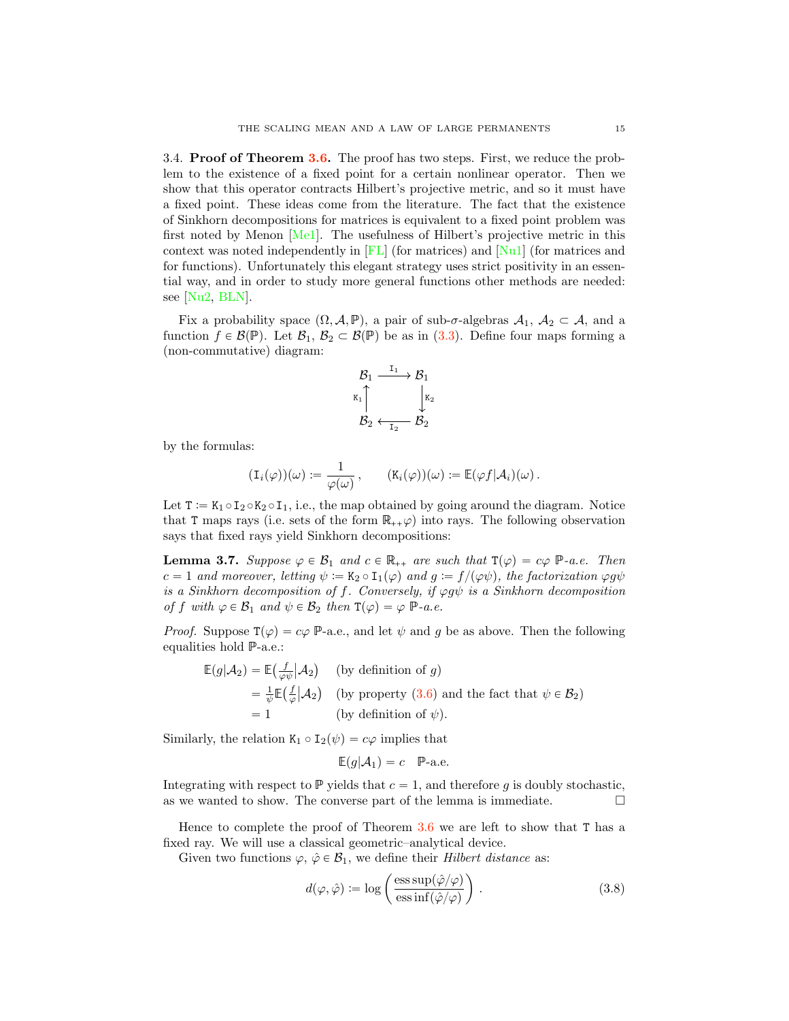<span id="page-14-2"></span>3.4. Proof of Theorem [3.6.](#page-13-0) The proof has two steps. First, we reduce the problem to the existence of a fixed point for a certain nonlinear operator. Then we show that this operator contracts Hilbert's projective metric, and so it must have a fixed point. These ideas come from the literature. The fact that the existence of Sinkhorn decompositions for matrices is equivalent to a fixed point problem was first noted by Menon  $[Me1]$ . The usefulness of Hilbert's projective metric in this context was noted independently in  $|FL|$  (for matrices) and  $|N_u1|$  (for matrices and for functions). Unfortunately this elegant strategy uses strict positivity in an essential way, and in order to study more general functions other methods are needed: see [\[Nu2,](#page-28-11) [BLN\]](#page-26-5).

Fix a probability space  $(\Omega, \mathcal{A}, \mathbb{P})$ , a pair of sub-σ-algebras  $\mathcal{A}_1, \mathcal{A}_2 \subset \mathcal{A}$ , and a function  $f \in \mathcal{B}(\mathbb{P})$ . Let  $\mathcal{B}_1, \mathcal{B}_2 \subset \mathcal{B}(\mathbb{P})$  be as in [\(3.3\)](#page-11-4). Define four maps forming a (non-commutative) diagram:

$$
\begin{matrix} \mathcal{B}_1 @{^{\mathrm{I}}1}>> \mathcal{B}_1 \\ \mathsf{K}_1 \, \uparrow & \downarrow \mathsf{K}_2 \\ \mathcal{B}_2 @{^{\mathrm{I}}1} & \mathcal{B}_2 \end{matrix}
$$

by the formulas:

$$
(\mathbf{I}_i(\varphi))(\omega) := \frac{1}{\varphi(\omega)}, \qquad (\mathbf{K}_i(\varphi))(\omega) := \mathbb{E}(\varphi f | \mathcal{A}_i)(\omega).
$$

Let  $T := K_1 \circ I_2 \circ K_2 \circ I_1$ , i.e., the map obtained by going around the diagram. Notice that T maps rays (i.e. sets of the form  $\mathbb{R}_{++}\varphi$ ) into rays. The following observation says that fixed rays yield Sinkhorn decompositions:

<span id="page-14-1"></span>**Lemma 3.7.** Suppose  $\varphi \in \mathcal{B}_1$  and  $c \in \mathbb{R}_{++}$  are such that  $\mathsf{T}(\varphi) = c\varphi$   $\mathbb{P}$ -a.e. Then  $c = 1$  and moreover, letting  $\psi := K_2 \circ I_1(\varphi)$  and  $g := f/(\varphi \psi)$ , the factorization  $\varphi g \psi$ is a Sinkhorn decomposition of f. Conversely, if  $\varphi g\psi$  is a Sinkhorn decomposition of f with  $\varphi \in \mathcal{B}_1$  and  $\psi \in \mathcal{B}_2$  then  $\mathsf{T}(\varphi) = \varphi \; \mathbb{P}$ -a.e.

*Proof.* Suppose  $T(\varphi) = c\varphi \, \mathbb{P}$ -a.e., and let  $\psi$  and g be as above. Then the following equalities hold P-a.e.:

$$
\mathbb{E}(g|\mathcal{A}_2) = \mathbb{E}\left(\frac{f}{\varphi\psi}|\mathcal{A}_2\right) \quad \text{(by definition of } g\text{)}
$$
\n
$$
= \frac{1}{\psi}\mathbb{E}\left(\frac{f}{\varphi}|\mathcal{A}_2\right) \quad \text{(by property (3.6) and the fact that } \psi \in \mathcal{B}_2\text{)}
$$
\n
$$
= 1 \qquad \qquad \text{(by definition of } \psi\text{)}.
$$

Similarly, the relation  $K_1 \circ I_2(\psi) = c\varphi$  implies that

$$
\mathbb{E}(g|\mathcal{A}_1) = c \quad \mathbb{P}\text{-a.e.}
$$

Integrating with respect to  $\mathbb P$  yields that  $c = 1$ , and therefore g is doubly stochastic, as we wanted to show. The converse part of the lemma is immediate as we wanted to show. The converse part of the lemma is immediate.

Hence to complete the proof of Theorem  $3.6$  we are left to show that T has a fixed ray. We will use a classical geometric–analytical device.

Given two functions  $\varphi, \hat{\varphi} \in \mathcal{B}_1$ , we define their *Hilbert distance* as:

<span id="page-14-0"></span>
$$
d(\varphi, \hat{\varphi}) \coloneqq \log \left( \frac{\operatorname{ess} \sup(\hat{\varphi}/\varphi)}{\operatorname{ess} \inf(\hat{\varphi}/\varphi)} \right). \tag{3.8}
$$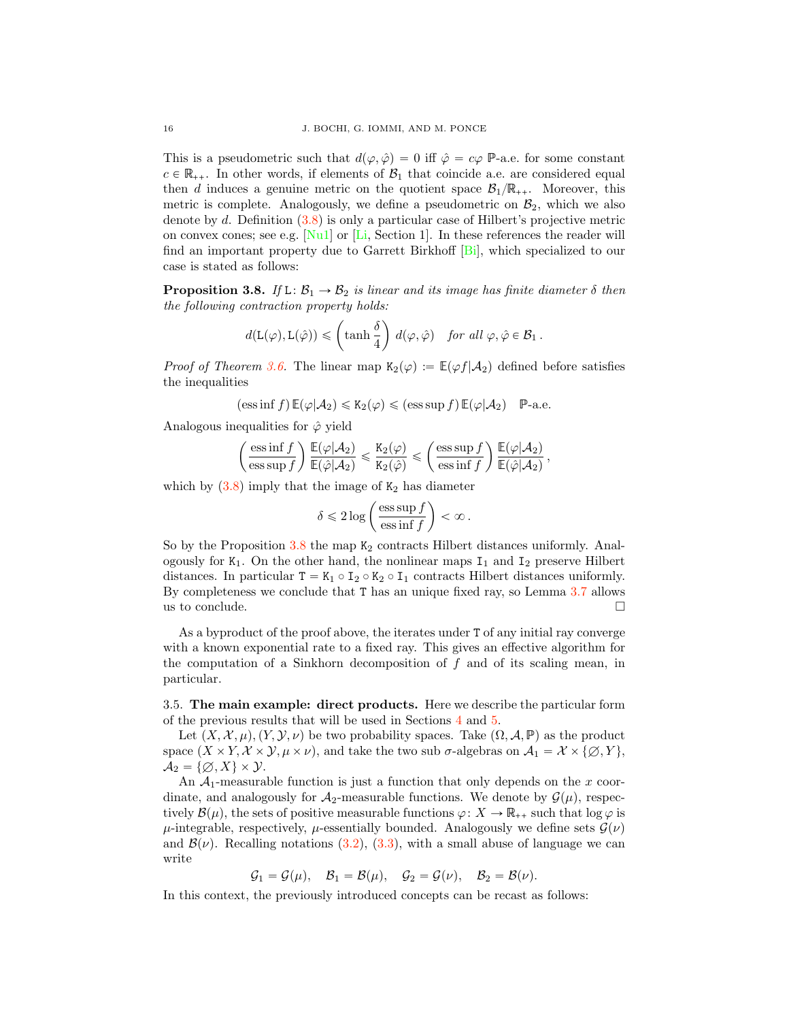<span id="page-15-2"></span>This is a pseudometric such that  $d(\varphi, \hat{\varphi}) = 0$  iff  $\hat{\varphi} = c\varphi$  P-a.e. for some constant  $c \in \mathbb{R}_{++}$ . In other words, if elements of  $\mathcal{B}_1$  that coincide a.e. are considered equal then d induces a genuine metric on the quotient space  $\mathcal{B}_1/\mathbb{R}_{++}$ . Moreover, this metric is complete. Analogously, we define a pseudometric on  $\mathcal{B}_2$ , which we also denote by d. Definition [\(3.8\)](#page-14-0) is only a particular case of Hilbert's projective metric on convex cones; see e.g.  $\lceil \text{Nu} \rceil$  or  $\lceil \text{Li} \rceil$ , Section 1. In these references the reader will find an important property due to Garrett Birkhoff [\[Bi\]](#page-26-6), which specialized to our case is stated as follows:

<span id="page-15-1"></span>**Proposition 3.8.** If  $L: \mathcal{B}_1 \to \mathcal{B}_2$  is linear and its image has finite diameter  $\delta$  then the following contraction property holds:

$$
d(\mathsf{L}(\varphi), \mathsf{L}(\hat{\varphi})) \leqslant \left(\tanh\frac{\delta}{4}\right) d(\varphi, \hat{\varphi}) \quad \text{for all } \varphi, \hat{\varphi} \in \mathcal{B}_1 \, .
$$

*Proof of Theorem [3.6.](#page-13-0)* The linear map  $K_2(\varphi) := \mathbb{E}(\varphi f | \mathcal{A}_2)$  defined before satisfies the inequalities

$$
(\text{ess}\inf f)\,\mathbb{E}(\varphi|\mathcal{A}_2)\leq \mathsf{K}_2(\varphi)\leq (\text{ess}\sup f)\,\mathbb{E}(\varphi|\mathcal{A}_2)\quad\mathbb{P}\text{-a.e.}
$$

Analogous inequalities for  $\hat{\varphi}$  yield

$$
\left(\frac{{\rm ess}\inf f}{{\rm ess}\sup f}\right)\frac{\mathbb{E}(\varphi|\mathcal{A}_2)}{\mathbb{E}(\hat{\varphi}|\mathcal{A}_2)}\leqslant \frac{\mathtt{K}_2(\varphi)}{\mathtt{K}_2(\hat{\varphi})}\leqslant \left(\frac{{\rm ess}\sup f}{{\rm ess}\inf f}\right)\frac{\mathbb{E}(\varphi|\mathcal{A}_2)}{\mathbb{E}(\hat{\varphi}|\mathcal{A}_2)}\,,
$$

which by  $(3.8)$  imply that the image of  $K_2$  has diameter

$$
\delta \leqslant 2 \log \left( \frac{\operatorname{ess} \sup f}{\operatorname{ess} \inf f} \right) < \infty \, .
$$

So by the Proposition  $3.8$  the map  $K_2$  contracts Hilbert distances uniformly. Analogously for  $K_1$ . On the other hand, the nonlinear maps  $I_1$  and  $I_2$  preserve Hilbert distances. In particular  $T = K_1 \circ I_2 \circ K_2 \circ I_1$  contracts Hilbert distances uniformly. By completeness we conclude that T has an unique fixed ray, so Lemma [3.7](#page-14-1) allows us to conclude.  $\Box$ 

As a byproduct of the proof above, the iterates under T of any initial ray converge with a known exponential rate to a fixed ray. This gives an effective algorithm for the computation of a Sinkhorn decomposition of  $f$  and of its scaling mean, in particular.

<span id="page-15-0"></span>3.5. The main example: direct products. Here we describe the particular form of the previous results that will be used in Sections [4](#page-17-1) and [5.](#page-23-0)

Let  $(X, \mathcal{X}, \mu), (Y, \mathcal{Y}, \nu)$  be two probability spaces. Take  $(\Omega, \mathcal{A}, \mathbb{P})$  as the product space  $(X \times Y, \mathcal{X} \times \mathcal{Y}, \mu \times \nu)$ , and take the two sub  $\sigma$ -algebras on  $\mathcal{A}_1 = \mathcal{X} \times \{ \emptyset, Y \}$ ,  $A_2 = \{ \emptyset, X \} \times \mathcal{Y}.$ 

An  $A_1$ -measurable function is just a function that only depends on the x coordinate, and analogously for  $\mathcal{A}_2$ -measurable functions. We denote by  $\mathcal{G}(\mu)$ , respectively  $\mathcal{B}(\mu)$ , the sets of positive measurable functions  $\varphi: X \to \mathbb{R}_{++}$  such that  $\log \varphi$  is  $\mu$ -integrable, respectively,  $\mu$ -essentially bounded. Analogously we define sets  $\mathcal{G}(\nu)$ and  $\mathcal{B}(\nu)$ . Recalling notations [\(3.2\)](#page-11-5), [\(3.3\)](#page-11-4), with a small abuse of language we can write

$$
\mathcal{G}_1=\mathcal{G}(\mu), \quad \mathcal{B}_1=\mathcal{B}(\mu), \quad \mathcal{G}_2=\mathcal{G}(\nu), \quad \mathcal{B}_2=\mathcal{B}(\nu).
$$

In this context, the previously introduced concepts can be recast as follows: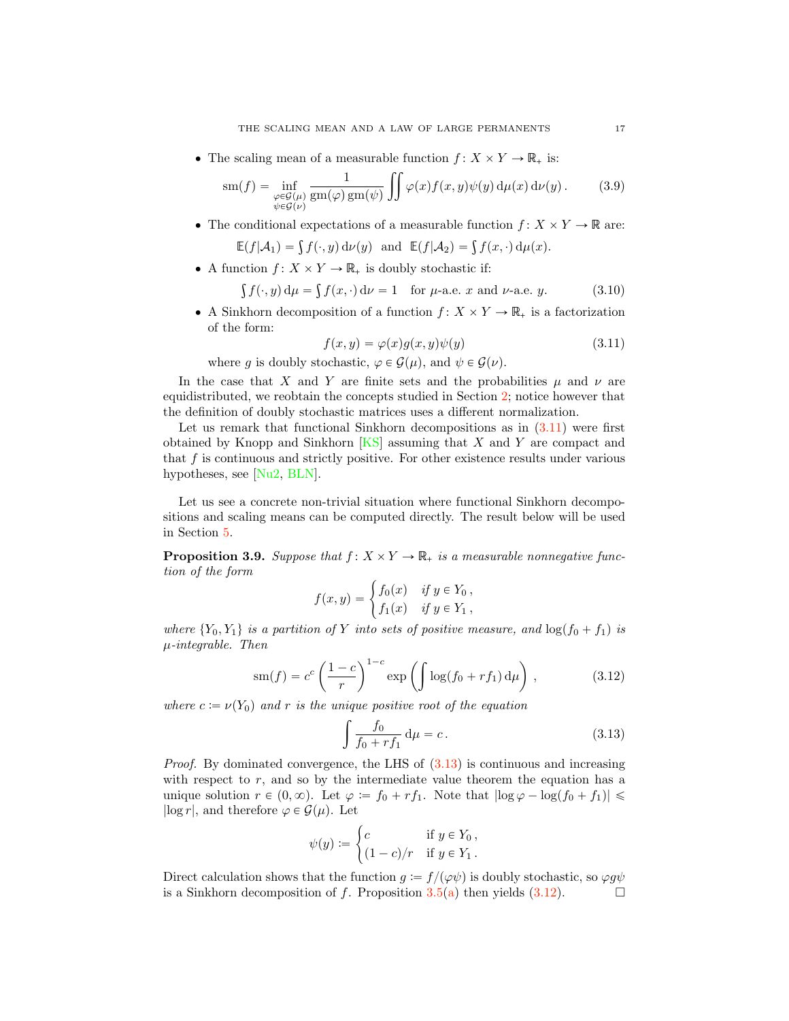<span id="page-16-6"></span>• The scaling mean of a measurable function  $f: X \times Y \to \mathbb{R}_+$  is:

<span id="page-16-3"></span>
$$
sm(f) = \inf_{\substack{\varphi \in \mathcal{G}(\mu) \\ \psi \in \mathcal{G}(\nu)}} \frac{1}{gm(\varphi) \, gm(\psi)} \iint \varphi(x) f(x, y) \psi(y) \, d\mu(x) \, d\nu(y). \tag{3.9}
$$

• The conditional expectations of a measurable function  $f: X \times Y \to \mathbb{R}$  are:

$$
\mathbb{E}(f|\mathcal{A}_1)=\int f(\cdot,y)\,\mathrm{d}\nu(y)\ \ \text{and}\ \ \mathbb{E}(f|\mathcal{A}_2)=\int f(x,\cdot)\,\mathrm{d}\mu(x).
$$

• A function  $f: X \times Y \to \mathbb{R}_+$  is doubly stochastic if:

<span id="page-16-4"></span>
$$
\int f(\cdot, y) d\mu = \int f(x, \cdot) d\nu = 1 \quad \text{for } \mu\text{-a.e. } x \text{ and } \nu\text{-a.e. } y. \tag{3.10}
$$

• A Sinkhorn decomposition of a function  $f: X \times Y \to \mathbb{R}_+$  is a factorization of the form:

<span id="page-16-1"></span>
$$
f(x,y) = \varphi(x)g(x,y)\psi(y) \tag{3.11}
$$

where g is doubly stochastic,  $\varphi \in \mathcal{G}(\mu)$ , and  $\psi \in \mathcal{G}(\nu)$ .

In the case that X and Y are finite sets and the probabilities  $\mu$  and  $\nu$  are equidistributed, we reobtain the concepts studied in Section [2;](#page-2-1) notice however that the definition of doubly stochastic matrices uses a different normalization.

Let us remark that functional Sinkhorn decompositions as in  $(3.11)$  were first obtained by Knopp and Sinkhorn  $[KS]$  assuming that X and Y are compact and that  $f$  is continuous and strictly positive. For other existence results under various hypotheses, see [\[Nu2,](#page-28-11) [BLN\]](#page-26-5).

Let us see a concrete non-trivial situation where functional Sinkhorn decompositions and scaling means can be computed directly. The result below will be used in Section [5.](#page-23-0)

<span id="page-16-5"></span>**Proposition 3.9.** Suppose that  $f: X \times Y \to \mathbb{R}_+$  is a measurable nonnegative function of the form

$$
f(x,y) = \begin{cases} f_0(x) & \text{if } y \in Y_0, \\ f_1(x) & \text{if } y \in Y_1, \end{cases}
$$

where  $\{Y_0, Y_1\}$  is a partition of Y into sets of positive measure, and  $\log(f_0 + f_1)$  is  $\mu$ -integrable. Then

<span id="page-16-0"></span>
$$
\operatorname{sm}(f) = c^c \left(\frac{1-c}{r}\right)^{1-c} \exp\left(\int \log(f_0 + rf_1) \, \mathrm{d}\mu\right),\tag{3.12}
$$

where  $c := \nu(Y_0)$  and r is the unique positive root of the equation

<span id="page-16-2"></span>
$$
\int \frac{f_0}{f_0 + rf_1} \, \mathrm{d}\mu = c \,. \tag{3.13}
$$

*Proof.* By dominated convergence, the LHS of  $(3.13)$  is continuous and increasing with respect to  $r$ , and so by the intermediate value theorem the equation has a unique solution  $r \in (0, \infty)$ . Let  $\varphi := f_0 + rf_1$ . Note that  $|\log \varphi - \log(f_0 + f_1)| \leq$  $|\log r|$ , and therefore  $\varphi \in \mathcal{G}(\mu)$ . Let

$$
\psi(y) := \begin{cases} c & \text{if } y \in Y_0, \\ (1 - c)/r & \text{if } y \in Y_1. \end{cases}
$$

Direct calculation shows that the function  $g := f/(\varphi\psi)$  is doubly stochastic, so  $\varphi g\psi$  is a Sinkhorn decomposition of f. Proposition 3.5(a) then yields (3.12). is a Sinkhorn decomposition of f. Proposition  $3.5(a)$  $3.5(a)$  then yields  $(3.12)$ .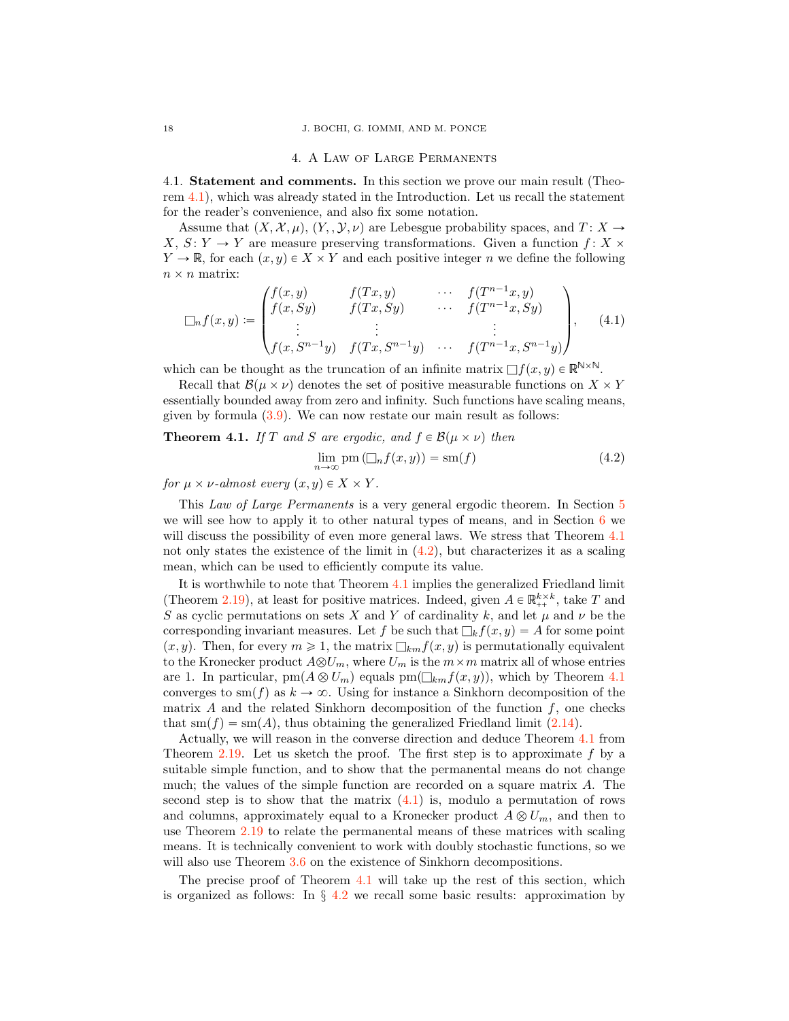#### 4. A Law of Large Permanents

<span id="page-17-1"></span>4.1. Statement and comments. In this section we prove our main result (Theorem [4.1\)](#page-17-0), which was already stated in the Introduction. Let us recall the statement for the reader's convenience, and also fix some notation.

Assume that  $(X, \mathcal{X}, \mu)$ ,  $(Y, \mathcal{Y}, \nu)$  are Lebesgue probability spaces, and  $T : X \to$ X,  $S: Y \to Y$  are measure preserving transformations. Given a function f: X  $\times$  $Y \to \mathbb{R}$ , for each  $(x, y) \in X \times Y$  and each positive integer n we define the following  $n \times n$  matrix:

<span id="page-17-3"></span>
$$
\Box_n f(x,y) := \begin{pmatrix} f(x,y) & f(Tx,y) & \cdots & f(T^{n-1}x,y) \\ f(x, Sy) & f(Tx, Sy) & \cdots & f(T^{n-1}x, Sy) \\ \vdots & \vdots & & \vdots \\ f(x, S^{n-1}y) & f(Tx, S^{n-1}y) & \cdots & f(T^{n-1}x, S^{n-1}y) \end{pmatrix}, \quad (4.1)
$$

which can be thought as the truncation of an infinite matrix  $\Box f(x, y) \in \mathbb{R}^{N \times N}$ .

Recall that  $\mathcal{B}(\mu \times \nu)$  denotes the set of positive measurable functions on  $X \times Y$ essentially bounded away from zero and infinity. Such functions have scaling means, given by formula [\(3.9\)](#page-16-3). We can now restate our main result as follows:

# <span id="page-17-0"></span>**Theorem 4.1.** If T and S are ergodic, and  $f \in \mathcal{B}(\mu \times \nu)$  then

<span id="page-17-2"></span>
$$
\lim_{n \to \infty} \text{pm} \left( \Box_n f(x, y) \right) = \text{sm}(f) \tag{4.2}
$$

for  $\mu \times \nu$ -almost every  $(x, y) \in X \times Y$ .

This Law of Large Permanents is a very general ergodic theorem. In Section [5](#page-23-0) we will see how to apply it to other natural types of means, and in Section [6](#page-25-0) we will discuss the possibility of even more general laws. We stress that Theorem [4.1](#page-17-0) not only states the existence of the limit in  $(4.2)$ , but characterizes it as a scaling mean, which can be used to efficiently compute its value.

It is worthwhile to note that Theorem [4.1](#page-17-0) implies the generalized Friedland limit (Theorem [2.19\)](#page-10-0), at least for positive matrices. Indeed, given  $A \in \mathbb{R}_{++}^{k \times k}$ , take T and S as cyclic permutations on sets X and Y of cardinality k, and let  $\mu$  and  $\nu$  be the corresponding invariant measures. Let f be such that  $\Box_k f(x, y) = A$  for some point  $(x, y)$ . Then, for every  $m \geq 1$ , the matrix  $\Box_{km}f(x, y)$  is permutationally equivalent to the Kronecker product  $A\otimes U_m$ , where  $U_m$  is the  $m\times m$  matrix all of whose entries are 1. In particular,  $\text{pm}(A \otimes U_m)$  equals  $\text{pm}(\square_{km} f(x, y))$ , which by Theorem [4.1](#page-17-0) converges to sm(f) as  $k \to \infty$ . Using for instance a Sinkhorn decomposition of the matrix  $A$  and the related Sinkhorn decomposition of the function  $f$ , one checks that  $\text{sm}(f) = \text{sm}(A)$ , thus obtaining the generalized Friedland limit [\(2.14\)](#page-10-2).

Actually, we will reason in the converse direction and deduce Theorem [4.1](#page-17-0) from Theorem [2.19.](#page-10-0) Let us sketch the proof. The first step is to approximate  $f$  by a suitable simple function, and to show that the permanental means do not change much; the values of the simple function are recorded on a square matrix A. The second step is to show that the matrix  $(4.1)$  is, modulo a permutation of rows and columns, approximately equal to a Kronecker product  $A \otimes U_m$ , and then to use Theorem [2.19](#page-10-0) to relate the permanental means of these matrices with scaling means. It is technically convenient to work with doubly stochastic functions, so we will also use Theorem  $3.6$  on the existence of Sinkhorn decompositions.

The precise proof of Theorem [4.1](#page-17-0) will take up the rest of this section, which is organized as follows: In *§* [4.2](#page-18-0) we recall some basic results: approximation by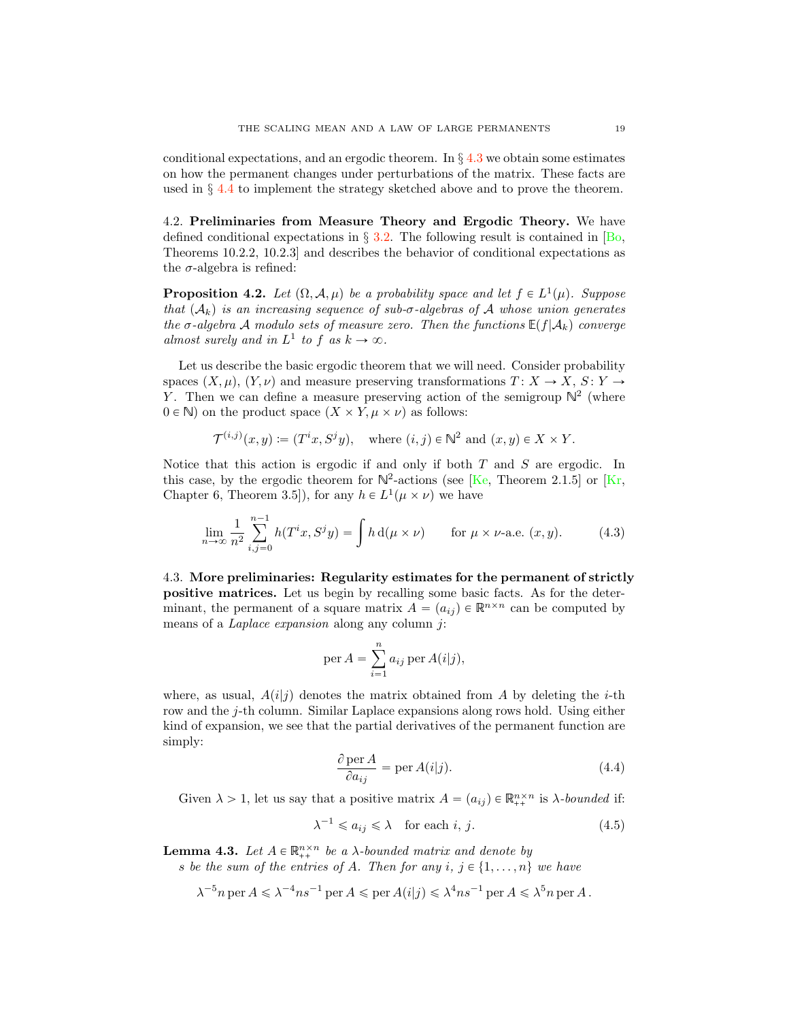<span id="page-18-7"></span>conditional expectations, and an ergodic theorem. In *§* [4.3](#page-18-1) we obtain some estimates on how the permanent changes under perturbations of the matrix. These facts are used in *§* [4.4](#page-20-0) to implement the strategy sketched above and to prove the theorem.

<span id="page-18-0"></span>4.2. Preliminaries from Measure Theory and Ergodic Theory. We have defined conditional expectations in *§* [3.2.](#page-12-3) The following result is contained in [\[Bo,](#page-26-4) Theorems 10.2.2, 10.2.3] and describes the behavior of conditional expectations as the  $\sigma$ -algebra is refined:

<span id="page-18-4"></span>**Proposition 4.2.** Let  $(\Omega, \mathcal{A}, \mu)$  be a probability space and let  $f \in L^1(\mu)$ . Suppose that  $(A_k)$  is an increasing sequence of sub- $\sigma$ -algebras of *A* whose union generates the  $\sigma$ -algebra *A* modulo sets of measure zero. Then the functions  $E(f|\mathcal{A}_k)$  converge almost surely and in  $L^1$  to f as  $k \to \infty$ .

Let us describe the basic ergodic theorem that we will need. Consider probability spaces  $(X, \mu)$ ,  $(Y, \nu)$  and measure preserving transformations  $T : X \to X$ ,  $S : Y \to Y$ Y. Then we can define a measure preserving action of the semigroup  $\mathbb{N}^2$  (where  $0 \in \mathbb{N}$ ) on the product space  $(X \times Y, \mu \times \nu)$  as follows:

$$
\mathcal{T}^{(i,j)}(x,y) := (T^i x, S^j y), \quad \text{where } (i,j) \in \mathbb{N}^2 \text{ and } (x,y) \in X \times Y.
$$

Notice that this action is ergodic if and only if both  $T$  and  $S$  are ergodic. In this case, by the ergodic theorem for  $N^2$ -actions (see [\[Ke,](#page-27-21) Theorem 2.1.5] or [\[Kr,](#page-27-20) Chapter 6, Theorem 3.5]), for any  $h \in L^1(\mu \times \nu)$  we have

<span id="page-18-5"></span>
$$
\lim_{n \to \infty} \frac{1}{n^2} \sum_{i,j=0}^{n-1} h(T^i x, S^j y) = \int h \, d(\mu \times \nu) \qquad \text{for } \mu \times \nu \text{-a.e. } (x, y). \tag{4.3}
$$

<span id="page-18-1"></span>4.3. More preliminaries: Regularity estimates for the permanent of strictly positive matrices. Let us begin by recalling some basic facts. As for the determinant, the permanent of a square matrix  $A = (a_{ij}) \in \mathbb{R}^{n \times n}$  can be computed by means of a Laplace expansion along any column j:

$$
\operatorname{per} A = \sum_{i=1}^{n} a_{ij} \operatorname{per} A(i|j),
$$

where, as usual,  $A(i|j)$  denotes the matrix obtained from A by deleting the *i*-th row and the j-th column. Similar Laplace expansions along rows hold. Using either kind of expansion, we see that the partial derivatives of the permanent function are simply:

<span id="page-18-3"></span>
$$
\frac{\partial \operatorname{per} A}{\partial a_{ij}} = \operatorname{per} A(i|j). \tag{4.4}
$$

Given  $\lambda > 1$ , let us say that a positive matrix  $A = (a_{ij}) \in \mathbb{R}^{n \times n}_{++}$  is  $\lambda$ -bounded if:

<span id="page-18-6"></span>
$$
\lambda^{-1} \leq a_{ij} \leq \lambda \quad \text{for each } i, j. \tag{4.5}
$$

<span id="page-18-2"></span>**Lemma 4.3.** Let  $A \in \mathbb{R}_{++}^{n \times n}$  be a *λ*-bounded matrix and denote by

s be the sum of the entries of A. Then for any  $i, j \in \{1, \ldots, n\}$  we have

 $\lambda^{-5}n$  per  $A \le \lambda^{-4}ns^{-1}$  per  $A \le$  per  $A(i|j) \le \lambda^4ns^{-1}$  per  $A \le \lambda^5n$  per A.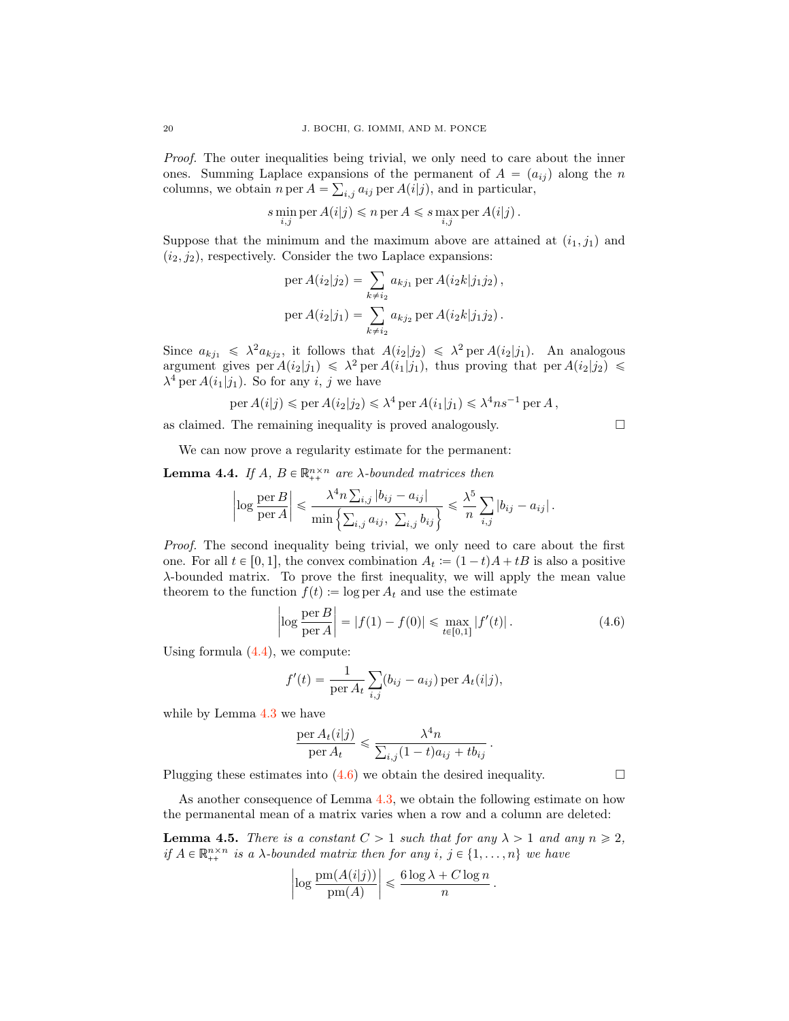Proof. The outer inequalities being trivial, we only need to care about the inner ones. Summing Laplace expansions of the permanent of  $A = (a_{ij})$  along the n columns, we obtain  $n \text{ per } A = \sum_{i,j} a_{ij} \text{ per } A(i|j)$ , and in particular,

$$
s \min_{i,j} \text{per } A(i|j) \leq n \text{ per } A \leq s \max_{i,j} \text{per } A(i|j) .
$$

Suppose that the minimum and the maximum above are attained at  $(i_1, j_1)$  and  $(i_2, j_2)$ , respectively. Consider the two Laplace expansions:

per 
$$
A(i_2|j_2) = \sum_{k \neq i_2} a_{kj_1}
$$
 per  $A(i_2k|j_1j_2)$ ,  
per  $A(i_2|j_1) = \sum_{k \neq i_2} a_{kj_2}$  per  $A(i_2k|j_1j_2)$ .

Since  $a_{kj_1} \leq \lambda^2 a_{kj_2}$ , it follows that  $A(i_2|j_2) \leq \lambda^2$  per  $A(i_2|j_1)$ . An analogous argument gives per  $A(i_2|j_1) \leq \lambda^2$  per  $A(i_1|j_1)$ , thus proving that per  $A(i_2|j_2) \leq$  $\lambda^4$  per  $A(i_1|j_1)$ . So for any i, j we have

$$
\text{per } A(i|j) \leqslant \text{per } A(i_2|j_2) \leqslant \lambda^4 \text{ per } A(i_1|j_1) \leqslant \lambda^4 ns^{-1} \text{ per } A \,,
$$

as claimed. The remaining inequality is proved analogously.

$$
\qquad \qquad \Box
$$

We can now prove a regularity estimate for the permanent:

<span id="page-19-1"></span>**Lemma 4.4.** If  $A, B \in \mathbb{R}_{++}^{n \times n}$  are  $\lambda$ -bounded matrices then

$$
\left|\log\frac{\operatorname{per} B}{\operatorname{per} A}\right| \leq \frac{\lambda^4 n \sum_{i,j} |b_{ij} - a_{ij}|}{\min\left\{\sum_{i,j} a_{ij}, \sum_{i,j} b_{ij}\right\}} \leq \frac{\lambda^5}{n} \sum_{i,j} |b_{ij} - a_{ij}|.
$$

Proof. The second inequality being trivial, we only need to care about the first one. For all  $t \in [0, 1]$ , the convex combination  $A_t := (1 - t)A + tB$  is also a positive λ-bounded matrix. To prove the first inequality, we will apply the mean value theorem to the function  $f(t) := \log \text{per } A_t$  and use the estimate

<span id="page-19-0"></span>
$$
\left| \log \frac{\text{per } B}{\text{per } A} \right| = |f(1) - f(0)| \le \max_{t \in [0,1]} |f'(t)|. \tag{4.6}
$$

Using formula  $(4.4)$ , we compute:

$$
f'(t) = \frac{1}{\text{per } A_t} \sum_{i,j} (b_{ij} - a_{ij}) \text{ per } A_t(i|j),
$$

while by Lemma [4.3](#page-18-2) we have

$$
\frac{\operatorname{per} A_t(i|j)}{\operatorname{per} A_t} \leq \frac{\lambda^4 n}{\sum_{i,j} (1-t) a_{ij} + t b_{ij}}.
$$

Plugging these estimates into  $(4.6)$  we obtain the desired inequality.

As another consequence of Lemma [4.3,](#page-18-2) we obtain the following estimate on how the permanental mean of a matrix varies when a row and a column are deleted:

<span id="page-19-2"></span>**Lemma 4.5.** There is a constant  $C > 1$  such that for any  $\lambda > 1$  and any  $n \geq 2$ , if  $A \in \mathbb{R}_{++}^{n \times n}$  is a  $\lambda$ -bounded matrix then for any  $i, j \in \{1, ..., n\}$  we have

$$
\left|\log \frac{pm(A(i|j))}{pm(A)}\right| \leq \frac{6 \log \lambda + C \log n}{n}.
$$

$$
\Box
$$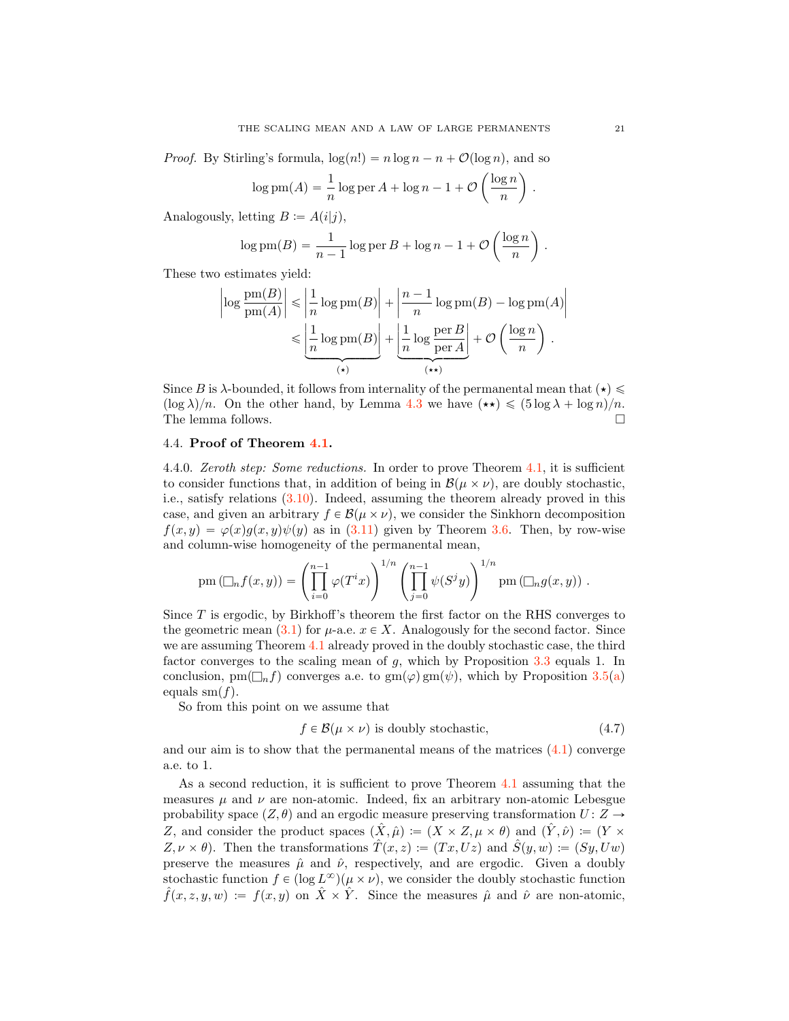*Proof.* By Stirling's formula,  $\log(n!) = n \log n - n + O(\log n)$ , and so

$$
\log \mathrm{pm}(A) = \frac{1}{n} \log \mathrm{per} A + \log n - 1 + \mathcal{O}\left(\frac{\log n}{n}\right)
$$

Analogously, letting  $B := A(i|j)$ ,

$$
\log \mathrm{pm}(B) = \frac{1}{n-1} \log \mathrm{per} B + \log n - 1 + \mathcal{O}\left(\frac{\log n}{n}\right).
$$

These two estimates yield:

$$
\left| \log \frac{pm(B)}{pm(A)} \right| \le \left| \frac{1}{n} \log \text{pm}(B) \right| + \left| \frac{n-1}{n} \log \text{pm}(B) - \log \text{pm}(A) \right|
$$
  

$$
\le \underbrace{\left| \frac{1}{n} \log \text{pm}(B) \right|}_{(*)} + \underbrace{\left| \frac{1}{n} \log \frac{\text{per } B}{\text{per } A} \right|}_{(**)} + \mathcal{O}\left( \frac{\log n}{n} \right).
$$

Since B is  $\lambda$ -bounded, it follows from internality of the permanental mean that  $(\star) \leq$  $(\log \lambda)/n$ . On the other hand, by Lemma [4.3](#page-18-2) we have  $(\star \star) \leq (5 \log \lambda + \log n)/n$ .<br>The lemma follows. The lemma follows.

### <span id="page-20-0"></span>4.4. Proof of Theorem [4.1.](#page-17-0)

<span id="page-20-2"></span>4.4.0. Zeroth step: Some reductions. In order to prove Theorem [4.1,](#page-17-0) it is sufficient to consider functions that, in addition of being in  $\mathcal{B}(\mu \times \nu)$ , are doubly stochastic, i.e., satisfy relations [\(3.10\)](#page-16-4). Indeed, assuming the theorem already proved in this case, and given an arbitrary  $f \in \mathcal{B}(\mu \times \nu)$ , we consider the Sinkhorn decomposition  $f(x, y) = \varphi(x)g(x, y)\psi(y)$  as in [\(3.11\)](#page-16-1) given by Theorem [3.6.](#page-13-0) Then, by row-wise and column-wise homogeneity of the permanental mean,

$$
pm (\Box_n f(x,y)) = \left(\prod_{i=0}^{n-1} \varphi(T^i x)\right)^{1/n} \left(\prod_{j=0}^{n-1} \psi(S^j y)\right)^{1/n} pm (\Box_n g(x,y)).
$$

Since  $T$  is ergodic, by Birkhoff's theorem the first factor on the RHS converges to the geometric mean [\(3.1\)](#page-11-6) for  $\mu$ -a.e.  $x \in X$ . Analogously for the second factor. Since we are assuming Theorem [4.1](#page-17-0) already proved in the doubly stochastic case, the third factor converges to the scaling mean of  $g$ , which by Proposition [3.3](#page-13-2) equals 1. In conclusion, pm( $\Box_n f$ ) converges a.e. to gm( $\varphi$ ) gm( $\psi$ ), which by Proposition [3.5](#page-13-4)[\(a\)](#page-13-1) equals  $\operatorname{sm}(f)$ .

So from this point on we assume that

<span id="page-20-1"></span>
$$
f \in \mathcal{B}(\mu \times \nu) \text{ is doubly stochastic},\tag{4.7}
$$

and our aim is to show that the permanental means of the matrices  $(4.1)$  converge a.e. to 1.

As a second reduction, it is sufficient to prove Theorem [4.1](#page-17-0) assuming that the measures  $\mu$  and  $\nu$  are non-atomic. Indeed, fix an arbitrary non-atomic Lebesgue probability space  $(Z, \theta)$  and an ergodic measure preserving transformation  $U : Z \rightarrow$ Z, and consider the product spaces  $(\hat{X}, \hat{\mu}) := (X \times Z, \mu \times \theta)$  and  $(\hat{Y}, \hat{\nu}) := (Y \times \theta)$  $Z, \nu \times \theta$ ). Then the transformations  $\hat{T}(x, z) := (Tx, Uz)$  and  $\hat{S}(y, w) := (Sy, Uw)$ preserve the measures  $\hat{\mu}$  and  $\hat{\nu}$ , respectively, and are ergodic. Given a doubly stochastic function  $f \in (\log L^{\infty})(\mu \times \nu)$ , we consider the doubly stochastic function  $\hat{f}(x, z, y, w) := f(x, y)$  on  $\hat{X} \times \hat{Y}$ . Since the measures  $\hat{\mu}$  and  $\hat{\nu}$  are non-atomic,

.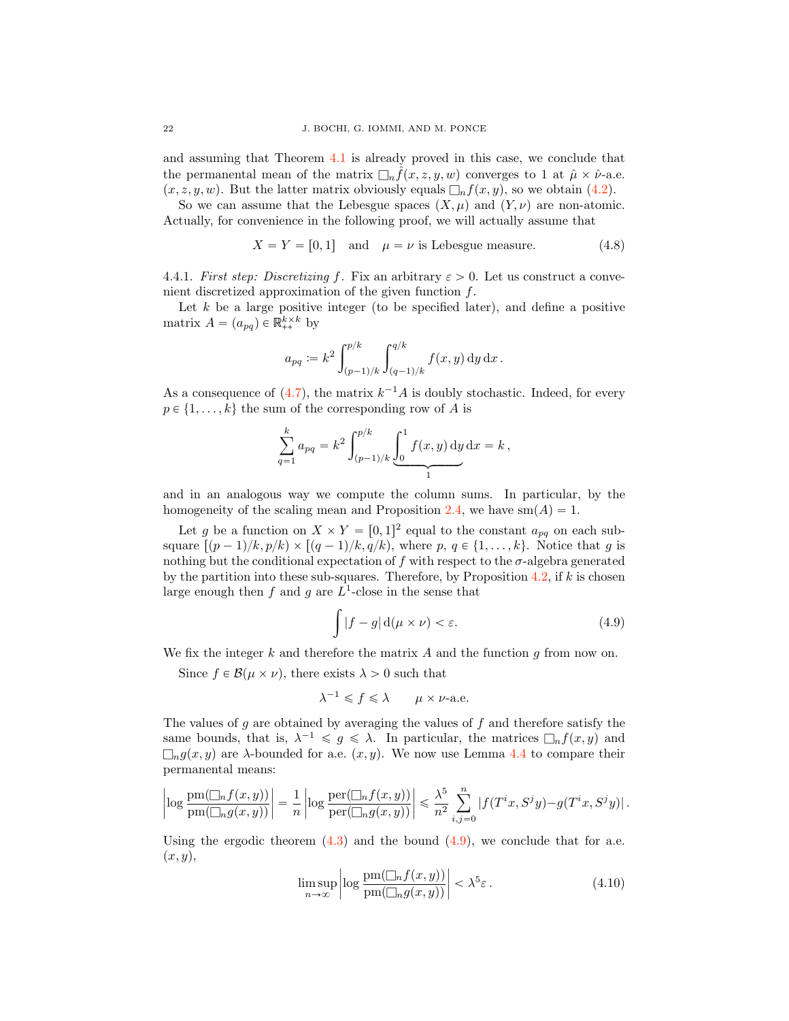and assuming that Theorem [4.1](#page-17-0) is already proved in this case, we conclude that the permanental mean of the matrix  $\Box_n f(x, z, y, w)$  converges to 1 at  $\hat{\mu} \times \hat{\nu}$ -a.e.  $(x, z, y, w)$ . But the latter matrix obviously equals  $\Box_n f(x, y)$ , so we obtain [\(4.2\)](#page-17-2).

So we can assume that the Lebesgue spaces  $(X, \mu)$  and  $(Y, \nu)$  are non-atomic. Actually, for convenience in the following proof, we will actually assume that

<span id="page-21-2"></span>
$$
X = Y = [0, 1] \quad \text{and} \quad \mu = \nu \text{ is Lebesgue measure.} \tag{4.8}
$$

4.4.1. First step: Discretizing f. Fix an arbitrary  $\varepsilon > 0$ . Let us construct a convenient discretized approximation of the given function f.

Let  $k$  be a large positive integer (to be specified later), and define a positive matrix  $A = (a_{pq}) \in \mathbb{R}_{++}^{k \times k}$  by

$$
a_{pq} := k^2 \int_{(p-1)/k}^{p/k} \int_{(q-1)/k}^{q/k} f(x, y) \, dy \, dx.
$$

As a consequence of  $(4.7)$ , the matrix  $k^{-1}A$  is doubly stochastic. Indeed, for every  $p \in \{1, \ldots, k\}$  the sum of the corresponding row of A is

$$
\sum_{q=1}^{k} a_{pq} = k^2 \int_{(p-1)/k}^{p/k} \underbrace{\int_0^1 f(x, y) \, dy}_{1} \, dx = k,
$$

and in an analogous way we compute the column sums. In particular, by the homogeneity of the scaling mean and Proposition [2.4,](#page-4-3) we have  $sm(A) = 1$ .

Let g be a function on  $X \times Y = [0, 1]^2$  equal to the constant  $a_{pq}$  on each subsquare  $[(p-1)/k, p/k] \times [(q-1)/k, q/k)$ , where  $p, q \in \{1, ..., k\}$ . Notice that g is nothing but the conditional expectation of f with respect to the  $\sigma$ -algebra generated by the partition into these sub-squares. Therefore, by Proposition  $4.2$ , if k is chosen large enough then f and g are  $L^1$ -close in the sense that

<span id="page-21-0"></span>
$$
\int |f - g| d(\mu \times \nu) < \varepsilon. \tag{4.9}
$$

We fix the integer  $k$  and therefore the matrix  $A$  and the function  $g$  from now on.

Since  $f \in \mathcal{B}(\mu \times \nu)$ , there exists  $\lambda > 0$  such that

$$
\lambda^{-1} \leqslant f \leqslant \lambda \qquad \mu \times \nu\text{-a.e.}
$$

The values of  $g$  are obtained by averaging the values of  $f$  and therefore satisfy the same bounds, that is,  $\lambda^{-1} \leq g \leq \lambda$ . In particular, the matrices  $\Box_n f(x, y)$  and  $\Box_{n}g(x, y)$  are  $\lambda$ -bounded for a.e.  $(x, y)$ . We now use Lemma [4.4](#page-19-1) to compare their permanental means:

$$
\left|\log\frac{\operatorname{pm}(\square_n f(x,y))}{\operatorname{pm}(\square_n g(x,y))}\right| = \frac{1}{n} \left|\log\frac{\operatorname{per}(\square_n f(x,y))}{\operatorname{per}(\square_n g(x,y))}\right| \leq \frac{\lambda^5}{n^2} \sum_{i,j=0}^n |f(T^i x, S^j y) - g(T^i x, S^j y)|.
$$

Using the ergodic theorem  $(4.3)$  and the bound  $(4.9)$ , we conclude that for a.e.  $(x, y)$ ,

<span id="page-21-1"></span>
$$
\limsup_{n \to \infty} \left| \log \frac{pm(\Box_n f(x, y))}{pm(\Box_n g(x, y))} \right| < \lambda^5 \varepsilon. \tag{4.10}
$$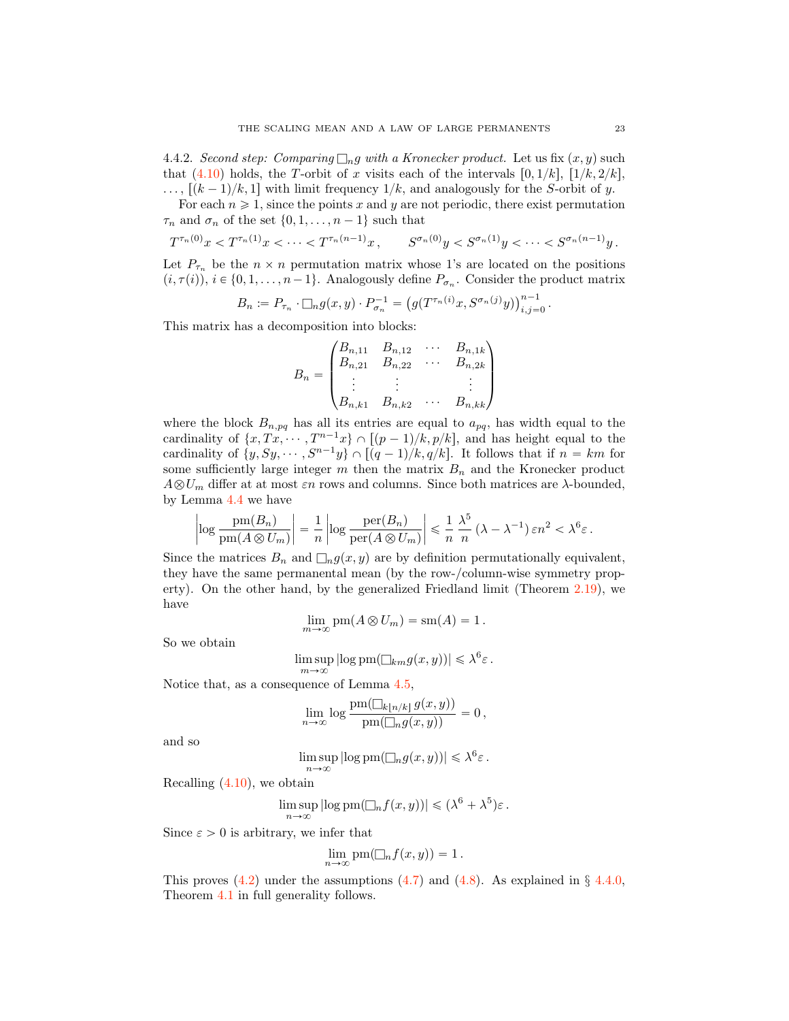4.4.2. Second step: Comparing  $\Box_n g$  with a Kronecker product. Let us fix  $(x, y)$  such that [\(4.10\)](#page-21-1) holds, the T-orbit of x visits each of the intervals  $[0, 1/k]$ ,  $[1/k, 2/k]$ ,  $\ldots$ ,  $[(k-1)/k, 1]$  with limit frequency  $1/k$ , and analogously for the S-orbit of y.

For each  $n \geq 1$ , since the points x and y are not periodic, there exist permutation  $\tau_n$  and  $\sigma_n$  of the set  $\{0, 1, \ldots, n-1\}$  such that

$$
T^{\tau_n(0)}x < T^{\tau_n(1)}x < \dots < T^{\tau_n(n-1)}x, \qquad S^{\sigma_n(0)}y < S^{\sigma_n(1)}y < \dots < S^{\sigma_n(n-1)}y.
$$

Let  $P_{\tau_n}$  be the  $n \times n$  permutation matrix whose 1's are located on the positions  $(i, \tau(i)), i \in \{0, 1, \ldots, n-1\}.$  Analogously define  $P_{\sigma_n}$ . Consider the product matrix

$$
B_n := P_{\tau_n} \cdot \Box_n g(x, y) \cdot P_{\sigma_n}^{-1} = (g(T^{\tau_n(i)}x, S^{\sigma_n(j)}y))_{i,j=0}^{n-1}.
$$

This matrix has a decomposition into blocks:

$$
B_n = \begin{pmatrix} B_{n,11} & B_{n,12} & \cdots & B_{n,1k} \\ B_{n,21} & B_{n,22} & \cdots & B_{n,2k} \\ \vdots & \vdots & & \vdots \\ B_{n,k1} & B_{n,k2} & \cdots & B_{n,kk} \end{pmatrix}
$$

where the block  $B_{n,pq}$  has all its entries are equal to  $a_{pq}$ , has width equal to the cardinality of  $\{x, Tx, \dots, T^{n-1}x\} \cap [(p-1)/k, p/k]$ , and has height equal to the cardinality of  $\{y, Sy, \dots, S^{n-1}y\} \cap [(q-1)/k, q/k]$ . It follows that if  $n = km$  for some sufficiently large integer m then the matrix  $B_n$  and the Kronecker product  $A \otimes U_m$  differ at at most  $\varepsilon n$  rows and columns. Since both matrices are  $\lambda$ -bounded, by Lemma [4.4](#page-19-1) we have

$$
\left|\log\frac{pm(B_n)}{pm(A\otimes U_m)}\right| = \frac{1}{n}\left|\log\frac{per(B_n)}{per(A\otimes U_m)}\right| \leq \frac{1}{n}\frac{\lambda^5}{n}\left(\lambda - \lambda^{-1}\right)\varepsilon n^2 < \lambda^6\varepsilon.
$$

Since the matrices  $B_n$  and  $\Box_n g(x, y)$  are by definition permutationally equivalent, they have the same permanental mean (by the row-/column-wise symmetry property). On the other hand, by the generalized Friedland limit (Theorem [2.19\)](#page-10-0), we have

$$
\lim_{m \to \infty} \text{pm}(A \otimes U_m) = \text{sm}(A) = 1.
$$

So we obtain

$$
\limsup_{m \to \infty} |\log \operatorname{pm}(\square_{km} g(x, y))| \leq \lambda^6 \varepsilon.
$$

Notice that, as a consequence of Lemma [4.5,](#page-19-2)

$$
\lim_{n\to\infty}\log\frac{\operatorname{pm}(\Box_{k\lfloor n/k\rfloor}g(x,y))}{\operatorname{pm}(\Box_{n}g(x,y))}=0,
$$

and so

$$
\limsup_{n \to \infty} |\log \operatorname{pm}(\Box_n g(x, y))| \leq \lambda^6 \varepsilon.
$$

Recalling [\(4.10\)](#page-21-1), we obtain

$$
\limsup_{n\to\infty} |\log \operatorname{pm}(\Box_n f(x,y))| \leq (\lambda^6 + \lambda^5)\varepsilon.
$$

Since  $\varepsilon > 0$  is arbitrary, we infer that

$$
\lim_{n\to\infty} \text{pm}(\Box_n f(x,y)) = 1.
$$

This proves [\(4.2\)](#page-17-2) under the assumptions [\(4.7\)](#page-20-1) and [\(4.8\)](#page-21-2). As explained in *§* [4.4.0,](#page-20-2) Theorem [4.1](#page-17-0) in full generality follows.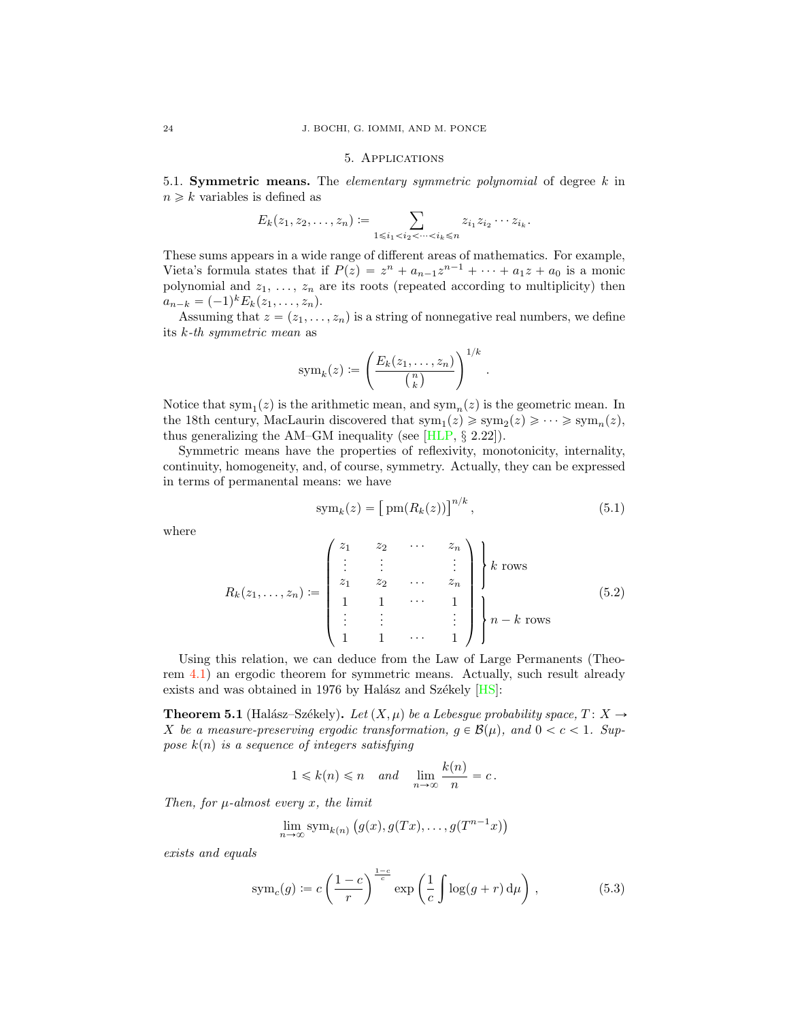### 5. Applications

<span id="page-23-6"></span><span id="page-23-1"></span><span id="page-23-0"></span>5.1. Symmetric means. The *elementary symmetric polynomial* of degree  $k$  in  $n \geq k$  variables is defined as

$$
E_k(z_1, z_2, \ldots, z_n) := \sum_{1 \le i_1 < i_2 < \cdots < i_k \le n} z_{i_1} z_{i_2} \cdots z_{i_k}.
$$

These sums appears in a wide range of different areas of mathematics. For example, Vieta's formula states that if  $P(z) = z^n + a_{n-1}z^{n-1} + \cdots + a_1z + a_0$  is a monic polynomial and  $z_1, \ldots, z_n$  are its roots (repeated according to multiplicity) then  $a_{n-k} = (-1)^k E_k(z_1, \ldots, z_n).$ 

Assuming that  $z = (z_1, \ldots, z_n)$  is a string of nonnegative real numbers, we define its k-th symmetric mean as

$$
sym_k(z) := \left(\frac{E_k(z_1,\ldots,z_n)}{\binom{n}{k}}\right)^{1/k}
$$

Notice that sym<sub>1</sub>(*z*) is the arithmetic mean, and sym<sub>n</sub>(*z*) is the geometric mean. In the 18th century, MacLaurin discovered that  $sym_1(z) \geq 3$   $sym_2(z) \geq \cdots \geq 3$   $sym_n(z)$ , thus generalizing the AM–GM inequality (see [\[HLP,](#page-27-22) *§* 2.22]).

Symmetric means have the properties of reflexivity, monotonicity, internality, continuity, homogeneity, and, of course, symmetry. Actually, they can be expressed in terms of permanental means: we have

<span id="page-23-4"></span>
$$
\text{sym}_k(z) = \left[\text{pm}(R_k(z))\right]^{n/k},\tag{5.1}
$$

.

where

<span id="page-23-3"></span>
$$
R_k(z_1,...,z_n) := \begin{pmatrix} z_1 & z_2 & \cdots & z_n \\ \vdots & \vdots & & \vdots \\ z_1 & z_2 & \cdots & z_n \\ 1 & 1 & \cdots & 1 \\ \vdots & \vdots & & \vdots \\ 1 & 1 & \cdots & 1 \end{pmatrix} \begin{pmatrix} \\ k \text{ rows} \\ \\ n - k \text{ rows} \end{pmatrix}
$$
 (5.2)

Using this relation, we can deduce from the Law of Large Permanents (Theorem [4.1\)](#page-17-0) an ergodic theorem for symmetric means. Actually, such result already exists and was obtained in 1976 by Halász and Székely  $[HS]$ :

<span id="page-23-5"></span>**Theorem 5.1** (Halász–Székely). Let  $(X, \mu)$  be a Lebesgue probability space,  $T : X \rightarrow Y$ X be a measure-preserving ergodic transformation,  $g \in \mathcal{B}(\mu)$ , and  $0 < c < 1$ . Suppose  $k(n)$  is a sequence of integers satisfying

$$
1 \le k(n) \le n
$$
 and  $\lim_{n \to \infty} \frac{k(n)}{n} = c$ .

Then, for  $\mu$ -almost every x, the limit

$$
\lim_{n \to \infty} \text{sym}_{k(n)} (g(x), g(Tx), \dots, g(T^{n-1}x))
$$

exists and equals

<span id="page-23-2"></span>
$$
symc(g) := c \left(\frac{1-c}{r}\right)^{\frac{1-c}{c}} \exp\left(\frac{1}{c} \int \log(g+r) d\mu\right),
$$
 (5.3)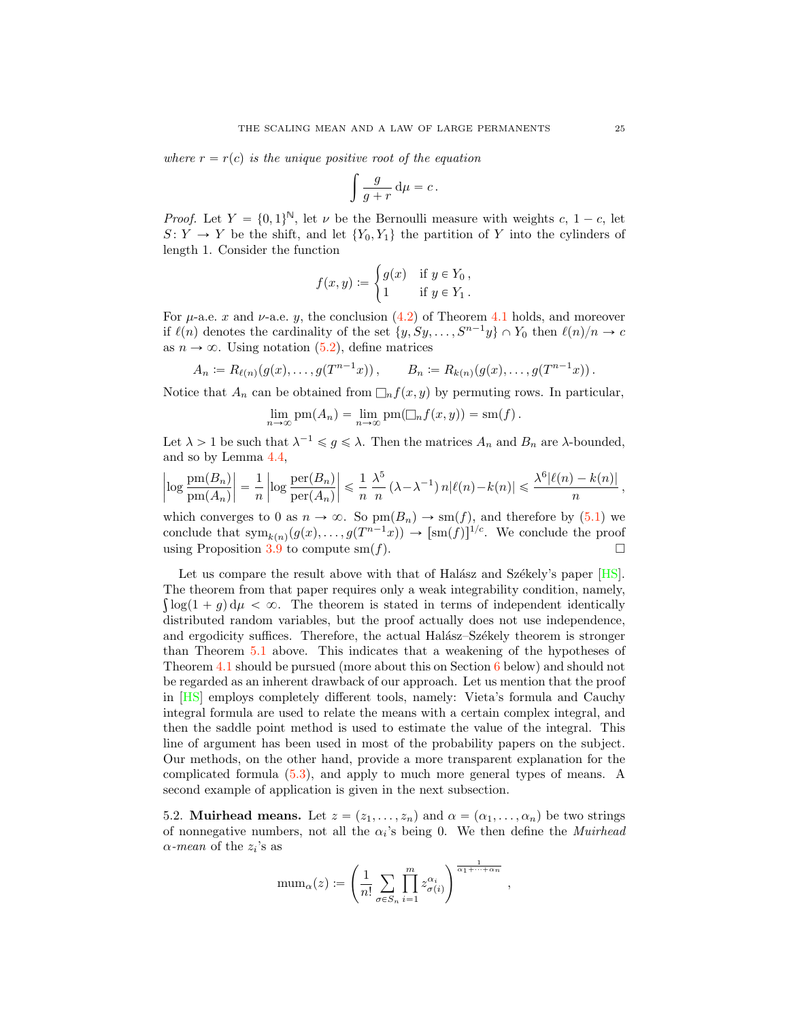<span id="page-24-0"></span>where  $r = r(c)$  is the unique positive root of the equation

$$
\int \frac{g}{g+r} \, \mathrm{d}\mu = c \, .
$$

*Proof.* Let  $Y = \{0, 1\}^{\mathbb{N}}$ , let  $\nu$  be the Bernoulli measure with weights c,  $1 - c$ , let  $S: Y \to Y$  be the shift, and let  $\{Y_0, Y_1\}$  the partition of Y into the cylinders of length 1. Consider the function

$$
f(x,y) := \begin{cases} g(x) & \text{if } y \in Y_0, \\ 1 & \text{if } y \in Y_1. \end{cases}
$$

For  $\mu$ -a.e. x and  $\nu$ -a.e. y, the conclusion [\(4.2\)](#page-17-2) of Theorem [4.1](#page-17-0) holds, and moreover if  $\ell(n)$  denotes the cardinality of the set  $\{y, Sy, \ldots, S^{n-1}y\} \cap Y_0$  then  $\ell(n)/n \to c$ as  $n \to \infty$ . Using notation [\(5.2\)](#page-23-3), define matrices

$$
A_n := R_{\ell(n)}(g(x), \dots, g(T^{n-1}x)), \qquad B_n := R_{k(n)}(g(x), \dots, g(T^{n-1}x)).
$$

Notice that  $A_n$  can be obtained from  $\Box_n f(x, y)$  by permuting rows. In particular,

$$
\lim_{n \to \infty} \text{pm}(A_n) = \lim_{n \to \infty} \text{pm}(\square_n f(x, y)) = \text{sm}(f).
$$

Let  $\lambda > 1$  be such that  $\lambda^{-1} \leq g \leq \lambda$ . Then the matrices  $A_n$  and  $B_n$  are  $\lambda$ -bounded, and so by Lemma [4.4,](#page-19-1)

$$
\left|\log\frac{\operatorname{pm}(B_n)}{\operatorname{pm}(A_n)}\right| = \frac{1}{n}\left|\log\frac{\operatorname{per}(B_n)}{\operatorname{per}(A_n)}\right| \leq \frac{1}{n}\frac{\lambda^5}{n}\left(\lambda - \lambda^{-1}\right)n|\ell(n) - k(n)| \leqslant \frac{\lambda^6|\ell(n) - k(n)|}{n},
$$

which converges to 0 as  $n \to \infty$ . So  $\text{pm}(B_n) \to \text{sm}(f)$ , and therefore by [\(5.1\)](#page-23-4) we conclude that  $\text{sym}_{k(n)}(g(x), \ldots, g(T^{n-1}x)) \to [\text{sm}(f)]^{1/c}$ . We conclude the proof using Proposition 3.9 to compute sm(f). using Proposition [3.9](#page-16-5) to compute  $sm(f)$ .

Let us compare the result above with that of Halász and Székely's paper  $[HS]$ . The theorem from that paper requires only a weak integrability condition, namely,  $\int \log(1 + g) d\mu < \infty$ . The theorem is stated in terms of independent identically distributed random variables, but the proof actually does not use independence, and ergodicity suffices. Therefore, the actual Halász–Székely theorem is stronger than Theorem [5.1](#page-23-5) above. This indicates that a weakening of the hypotheses of Theorem [4.1](#page-17-0) should be pursued (more about this on Section [6](#page-25-0) below) and should not be regarded as an inherent drawback of our approach. Let us mention that the proof in [\[HS\]](#page-27-0) employs completely different tools, namely: Vieta's formula and Cauchy integral formula are used to relate the means with a certain complex integral, and then the saddle point method is used to estimate the value of the integral. This line of argument has been used in most of the probability papers on the subject. Our methods, on the other hand, provide a more transparent explanation for the complicated formula [\(5.3\)](#page-23-2), and apply to much more general types of means. A second example of application is given in the next subsection.

5.2. Muirhead means. Let  $z = (z_1, \ldots, z_n)$  and  $\alpha = (\alpha_1, \ldots, \alpha_n)$  be two strings of nonnegative numbers, not all the  $\alpha_i$ 's being 0. We then define the *Muirhead*  $\alpha$ -mean of the  $z_i$ 's as

$$
\mathrm{mum}_{\alpha}(z) \coloneqq \left(\frac{1}{n!} \sum_{\sigma \in S_n} \prod_{i=1}^m z_{\sigma(i)}^{\alpha_i} \right)^{\frac{1}{\alpha_1 + \dots + \alpha_n}},
$$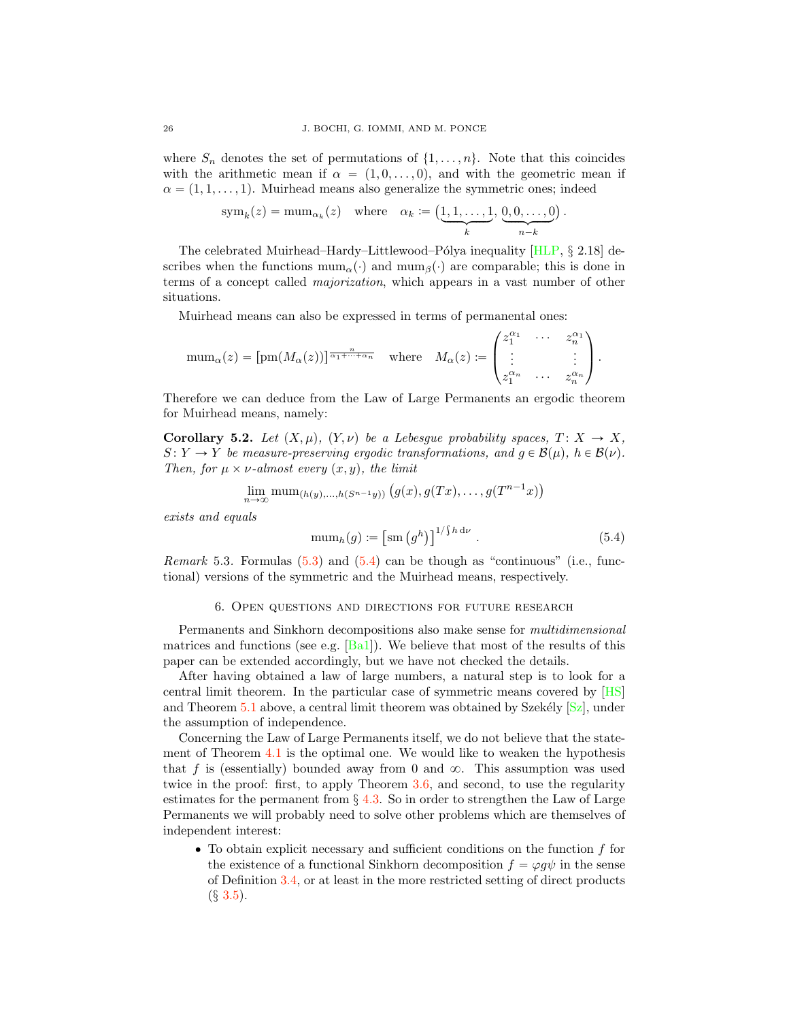<span id="page-25-2"></span>where  $S_n$  denotes the set of permutations of  $\{1,\ldots,n\}$ . Note that this coincides with the arithmetic mean if  $\alpha = (1, 0, \ldots, 0)$ , and with the geometric mean if  $\alpha = (1, 1, \ldots, 1)$ . Muirhead means also generalize the symmetric ones; indeed

$$
sym_k(z) = \text{mum}_{\alpha_k}(z) \quad \text{where} \quad \alpha_k := \left( \underbrace{1,1,\ldots,1}_{k}, \underbrace{0,0,\ldots,0}_{n-k} \right).
$$

The celebrated Muirhead–Hardy–Littlewood–Pólya inequality [\[HLP,](#page-27-22)  $\S$  2.18] describes when the functions  $\text{num}_{\alpha}(\cdot)$  and  $\text{num}_{\beta}(\cdot)$  are comparable; this is done in terms of a concept called majorization, which appears in a vast number of other situations.

Muirhead means can also be expressed in terms of permanental ones:

$$
\text{mum}_{\alpha}(z) = [\text{pm}(M_{\alpha}(z))]^{\frac{n}{\alpha_1 + \dots + \alpha_n}} \quad \text{where} \quad M_{\alpha}(z) := \begin{pmatrix} z_1^{\alpha_1} & \cdots & z_n^{\alpha_1} \\ \vdots & & \vdots \\ z_1^{\alpha_n} & \cdots & z_n^{\alpha_n} \end{pmatrix}.
$$

Therefore we can deduce from the Law of Large Permanents an ergodic theorem for Muirhead means, namely:

**Corollary 5.2.** Let  $(X, \mu)$ ,  $(Y, \nu)$  be a Lebesgue probability spaces,  $T : X \to X$ ,  $S: Y \to Y$  be measure-preserving ergodic transformations, and  $g \in \mathcal{B}(\mu)$ ,  $h \in \mathcal{B}(\nu)$ . Then, for  $\mu \times \nu$ -almost every  $(x, y)$ , the limit

$$
\lim_{n\to\infty}\text{mum}_{(h(y),...,h(S^{n-1}y))}(g(x),g(Tx),\ldots,g(T^{n-1}x))
$$

exists and equals

<span id="page-25-1"></span>
$$
\text{mum}_h(g) := \left[ \text{sm}\left( g^h \right) \right]^{1/\int h \, \mathrm{d}\nu} . \tag{5.4}
$$

*Remark* 5.3. Formulas  $(5.3)$  and  $(5.4)$  can be though as "continuous" (i.e., functional) versions of the symmetric and the Muirhead means, respectively.

#### 6. Open questions and directions for future research

<span id="page-25-0"></span>Permanents and Sinkhorn decompositions also make sense for multidimensional matrices and functions (see e.g.  $[\text{Ba1}]$ ). We believe that most of the results of this paper can be extended accordingly, but we have not checked the details.

After having obtained a law of large numbers, a natural step is to look for a central limit theorem. In the particular case of symmetric means covered by [\[HS\]](#page-27-0) and Theorem  $5.1$  above, a central limit theorem was obtained by Szekély  $[Sz]$ , under the assumption of independence.

Concerning the Law of Large Permanents itself, we do not believe that the statement of Theorem [4.1](#page-17-0) is the optimal one. We would like to weaken the hypothesis that f is (essentially) bounded away from 0 and  $\infty$ . This assumption was used twice in the proof: first, to apply Theorem [3.6,](#page-13-0) and second, to use the regularity estimates for the permanent from *§* [4.3.](#page-18-1) So in order to strengthen the Law of Large Permanents we will probably need to solve other problems which are themselves of independent interest:

 $\bullet$  To obtain explicit necessary and sufficient conditions on the function  $f$  for the existence of a functional Sinkhorn decomposition  $f = \varphi g \psi$  in the sense of Definition [3.4,](#page-13-5) or at least in the more restricted setting of direct products (*§* [3.5\)](#page-15-0).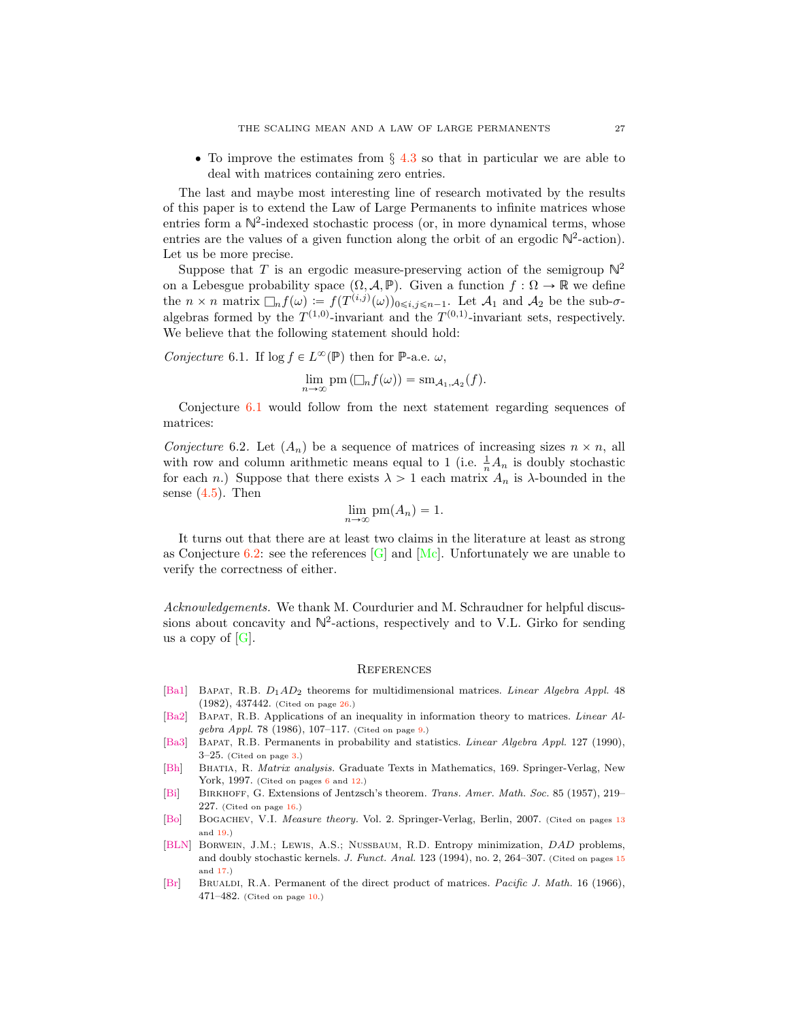<span id="page-26-10"></span>' To improve the estimates from *§* [4.3](#page-18-1) so that in particular we are able to deal with matrices containing zero entries.

The last and maybe most interesting line of research motivated by the results of this paper is to extend the Law of Large Permanents to infinite matrices whose entries form a  $\mathbb{N}^2$ -indexed stochastic process (or, in more dynamical terms, whose entries are the values of a given function along the orbit of an ergodic  $\mathbb{N}^2$ -action). Let us be more precise.

Suppose that T is an ergodic measure-preserving action of the semigroup  $\mathbb{N}^2$ on a Lebesgue probability space  $(\Omega, \mathcal{A}, \mathbb{P})$ . Given a function  $f : \Omega \to \mathbb{R}$  we define the  $n \times n$  matrix  $\Box_n f(\omega) := f(T^{(i,j)}(\omega))_{0 \leq i,j \leq n-1}$ . Let  $\mathcal{A}_1$  and  $\mathcal{A}_2$  be the sub- $\sigma$ algebras formed by the  $T^{(1,0)}$ -invariant and the  $T^{(0,1)}$ -invariant sets, respectively. We believe that the following statement should hold:

<span id="page-26-8"></span>Conjecture 6.1. If  $\log f \in L^{\infty}(\mathbb{P})$  then for P-a.e.  $\omega$ ,

$$
\lim_{n\to\infty}\mathrm{pm}\left(\Box_n f(\omega)\right)=\mathrm{sm}_{\mathcal{A}_1,\mathcal{A}_2}(f).
$$

Conjecture [6.1](#page-26-8) would follow from the next statement regarding sequences of matrices:

<span id="page-26-9"></span>Conjecture 6.2. Let  $(A_n)$  be a sequence of matrices of increasing sizes  $n \times n$ , all with row and column arithmetic means equal to 1 (i.e.  $\frac{1}{n}A_n$  is doubly stochastic for each n.) Suppose that there exists  $\lambda > 1$  each matrix  $A_n$  is  $\lambda$ -bounded in the sense  $(4.5)$ . Then

$$
\lim_{n \to \infty} \text{pm}(A_n) = 1.
$$

It turns out that there are at least two claims in the literature at least as strong as Conjecture [6.2:](#page-26-9) see the references  $[G]$  and  $[Mc]$ . Unfortunately we are unable to verify the correctness of either.

Acknowledgements. We thank M. Courdurier and M. Schraudner for helpful discussions about concavity and  $\mathbb{N}^2$ -actions, respectively and to V.L. Girko for sending us a copy of  $[G]$ .

#### **REFERENCES**

- <span id="page-26-7"></span>[\[Ba1\]](http://www.ams.org/mathscinet-getitem?mr=0683236) Bapat, R.B. *D*1*AD*<sup>2</sup> theorems for multidimensional matrices. *Linear Algebra Appl.* 48 (1982), 437442. (Cited on page [26.](#page-25-2))
- <span id="page-26-2"></span>[\[Ba2\]](http://www.ams.org/mathscinet-getitem?mr=0840170) Bapat, R.B. Applications of an inequality in information theory to matrices. *Linear Algebra Appl.* 78 (1986), 107–117. (Cited on page [9.](#page-8-9))
- <span id="page-26-0"></span>[\[Ba3\]](http://www.ams.org/mathscinet-getitem?mr=1048791) Bapat, R.B. Permanents in probability and statistics. *Linear Algebra Appl.* 127 (1990),  $3-25.$  (Cited on page  $3.$ )
- <span id="page-26-1"></span>[\[Bh\]](http://www.ams.org/mathscinet-getitem?mr=1477662) Bhatia, R. *Matrix analysis.* Graduate Texts in Mathematics, 169. Springer-Verlag, New York, 1997. (Cited on pages [6](#page-5-3) and [12.](#page-11-7))
- <span id="page-26-6"></span>[\[Bi\]](http://www.ams.org/mathscinet-getitem?mr=0087058) Birkhoff, G. Extensions of Jentzsch's theorem. *Trans. Amer. Math. Soc.* 85 (1957), 219– 227. (Cited on page  $16$ .)
- <span id="page-26-4"></span>[\[Bo\]](http://www.ams.org/mathscinet-getitem?mr=2267655) BOGACHEV, V.I. *Measure theory.* Vol. 2. Springer-Verlag, Berlin, 2007. (Cited on pages [13](#page-12-4) and [19.](#page-18-7))
- <span id="page-26-5"></span>[\[BLN\]](http://www.ams.org/mathscinet-getitem?mr=1283029) Borwein, J.M.; Lewis, A.S.; Nussbaum, R.D. Entropy minimization, *DAD* problems, and doubly stochastic kernels. *J. Funct. Anal.* 123 (1994), no. 2, 264–307. (Cited on pages [15](#page-14-2) and [17.](#page-16-6))
- <span id="page-26-3"></span>[\[Br\]](http://www.ams.org/mathscinet-getitem?mr=0191909) Brualdi, R.A. Permanent of the direct product of matrices. *Pacific J. Math.* 16 (1966), 471–482. (Cited on page [10.](#page-9-5))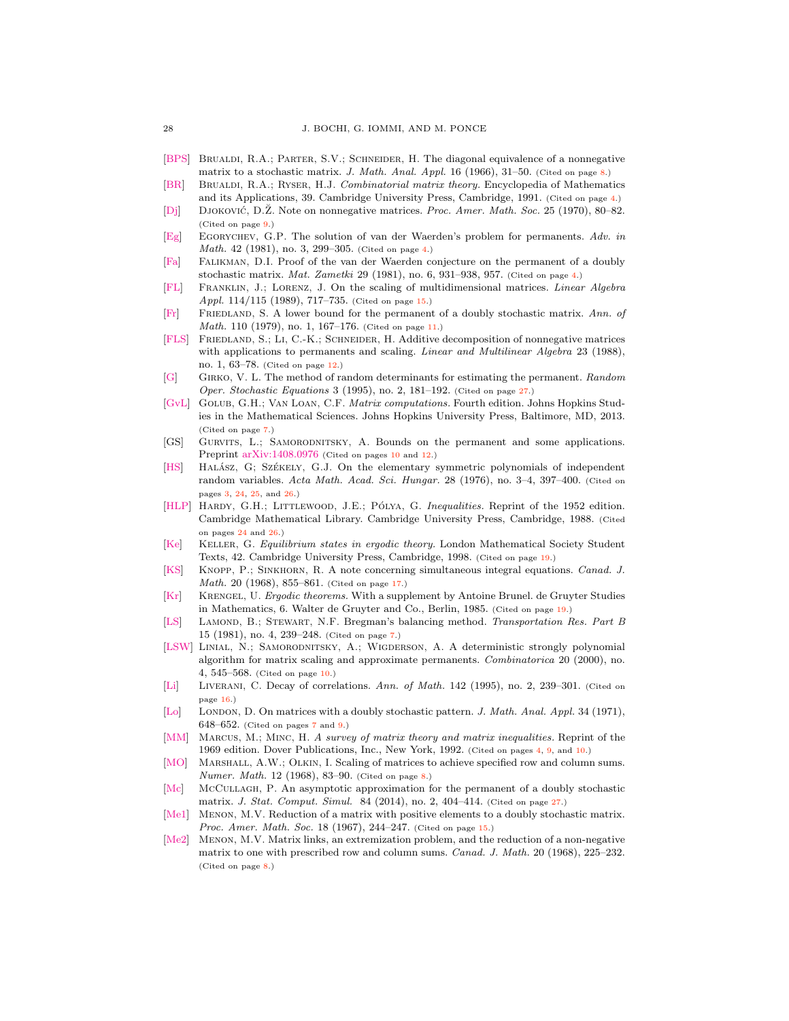- <span id="page-27-8"></span>[\[BPS\]](http://www.ams.org/mathscinet-getitem?mr=0206019) Brualdi, R.A.; Parter, S.V.; Schneider, H. The diagonal equivalence of a nonnegative matrix to a stochastic matrix. *J. Math. Anal. Appl.* 16 (1966), 31–50. (Cited on page [8.](#page-7-6))
- <span id="page-27-2"></span>[\[BR\]](http://www.ams.org/mathscinet-getitem?mr=1130611) Brualdi, R.A.; Ryser, H.J. *Combinatorial matrix theory.* Encyclopedia of Mathematics and its Applications, 39. Cambridge University Press, Cambridge, 1991. (Cited on page [4.](#page-3-1))
- <span id="page-27-11"></span>[\[Dj\]](http://www.ams.org/mathscinet-getitem?mr=0257114) DJOKOVIĆ, D.Ž. Note on nonnegative matrices. *Proc. Amer. Math. Soc.* 25 (1970), 80–82. (Cited on page [9.](#page-8-9))
- <span id="page-27-4"></span>[\[Eg\]](http://www.ams.org/mathscinet-getitem?mr=0642395) Egorychev, G.P. The solution of van der Waerden's problem for permanents. *Adv. in Math.* 42 (1981), no. 3, 299–305. (Cited on page [4.](#page-3-1))
- <span id="page-27-1"></span>[\[Fa\]](http://www.ams.org/mathscinet-getitem?mr=0625097) Falikman, D.I. Proof of the van der Waerden conjecture on the permanent of a doubly stochastic matrix. *Mat. Zametki* 29 (1981), no. 6, 931–938, 957. (Cited on page [4.](#page-3-1))
- <span id="page-27-17"></span>[\[FL\]](http://www.ams.org/mathscinet-getitem?mr=0986904) Franklin, J.; Lorenz, J. On the scaling of multidimensional matrices. *Linear Algebra Appl.* 114/115 (1989), 717–735. (Cited on page [15.](#page-14-2))
- <span id="page-27-14"></span>[\[Fr\]](http://www.ams.org/mathscinet-getitem?mr=0541335) Friedland, S. A lower bound for the permanent of a doubly stochastic matrix. *Ann. of Math.* 110 (1979), no. 1, 167-176. (Cited on page [11.](#page-10-3))
- <span id="page-27-15"></span>[\[FLS\]](http://www.ams.org/mathscinet-getitem?mr=0943770) Friedland, S.; Li, C.-K.; Schneider, H. Additive decomposition of nonnegative matrices with applications to permanents and scaling. *Linear and Multilinear Algebra* 23 (1988), no. 1, 63–78. (Cited on page [12.](#page-11-7))
- <span id="page-27-23"></span>[\[G\]](http://www.ams.org/mathscinet-getitem?mr=MR1341122) Girko, V. L. The method of random determinants for estimating the permanent. *Random Oper. Stochastic Equations* 3 (1995), no. 2, 181–192. (Cited on page [27.](#page-26-10))
- <span id="page-27-6"></span>[\[GvL\]](http://www.ams.org/mathscinet-getitem?mr=3024913) Golub, G.H.; Van Loan, C.F. *Matrix computations.* Fourth edition. Johns Hopkins Studies in the Mathematical Sciences. Johns Hopkins University Press, Baltimore, MD, 2013. (Cited on page [7.](#page-6-4))
- <span id="page-27-13"></span>[GS] Gurvits, L.; Samorodnitsky, A. Bounds on the permanent and some applications. Preprint [arXiv:1408.0976](http://arxiv.org/abs/1408.0976) (Cited on pages [10](#page-9-5) and [12.](#page-11-7))
- <span id="page-27-0"></span>[\[HS\]](http://www.ams.org/mathscinet-getitem?mr=0423491) HALÁSZ, G; SZÉKELY, G.J. On the elementary symmetric polynomials of independent random variables. *Acta Math. Acad. Sci. Hungar.* 28 (1976), no. 3–4, 397–400. (Cited on pages [3,](#page-2-2) [24,](#page-23-6) [25,](#page-24-0) and [26.](#page-25-2))
- <span id="page-27-22"></span>[\[HLP\]](http://www.ams.org/mathscinet-getitem?mr=0944909) HARDY, G.H.; LITTLEWOOD, J.E.; PÓLYA, G. *Inequalities*. Reprint of the 1952 edition. Cambridge Mathematical Library. Cambridge University Press, Cambridge, 1988. (Cited on pages [24](#page-23-6) and [26.](#page-25-2))
- <span id="page-27-21"></span>[\[Ke\]](http://www.ams.org/mathscinet-getitem?mr=1618769) Keller, G. *Equilibrium states in ergodic theory.* London Mathematical Society Student Texts, 42. Cambridge University Press, Cambridge, 1998. (Cited on page [19.](#page-18-7))
- <span id="page-27-19"></span>[\[KS\]](http://www.ams.org/mathscinet-getitem?mr=0228943) Knopp, P.; Sinkhorn, R. A note concerning simultaneous integral equations. *Canad. J. Math.* 20 (1968), 855–861. (Cited on page [17.](#page-16-6))
- <span id="page-27-20"></span>[\[Kr\]](http://www.ams.org/mathscinet-getitem?mr=0797411) Krengel, U. *Ergodic theorems.* With a supplement by Antoine Brunel. de Gruyter Studies in Mathematics, 6. Walter de Gruyter and Co., Berlin, 1985. (Cited on page [19.](#page-18-7))
- <span id="page-27-7"></span>[\[LS\]](http://www.ams.org/mathscinet-getitem?mr=0624430) Lamond, B.; Stewart, N.F. Bregman's balancing method. *Transportation Res. Part B* 15 (1981), no. 4, 239–248. (Cited on page [7.](#page-6-4))
- <span id="page-27-12"></span>[\[LSW\]](http://www.ams.org/mathscinet-getitem?mr=1804826) Linial, N.; Samorodnitsky, A.; Wigderson, A. A deterministic strongly polynomial algorithm for matrix scaling and approximate permanents. *Combinatorica* 20 (2000), no. 4, 545–568. (Cited on page [10.](#page-9-5))
- <span id="page-27-18"></span>[\[Li\]](http://www.ams.org/mathscinet-getitem?mr=1343323) Liverani, C. Decay of correlations. *Ann. of Math.* 142 (1995), no. 2, 239–301. (Cited on page [16.](#page-15-2))
- <span id="page-27-5"></span>[\[Lo\]](http://www.ams.org/mathscinet-getitem?mr=0281733) London, D. On matrices with a doubly stochastic pattern. *J. Math. Anal. Appl.* 34 (1971), 648–652. (Cited on pages [7](#page-6-4) and [9.](#page-8-9))
- <span id="page-27-3"></span>[\[MM\]](http://www.ams.org/mathscinet-getitem?mr=1215484) Marcus, M.; Minc, H. *A survey of matrix theory and matrix inequalities.* Reprint of the 1969 edition. Dover Publications, Inc., New York, 1992. (Cited on pages [4,](#page-3-1) [9,](#page-8-9) and [10.](#page-9-5))
- <span id="page-27-9"></span>[\[MO\]](http://www.ams.org/mathscinet-getitem?mr=0238875) MARSHALL, A.W.; OLKIN, I. Scaling of matrices to achieve specified row and column sums. *Numer. Math.* 12 (1968), 83–90. (Cited on page [8.](#page-7-6))
- <span id="page-27-24"></span>[\[Mc\]](http://www.ams.org/mathscinet-getitem?mr=3169336) McCullagh, P. An asymptotic approximation for the permanent of a doubly stochastic matrix. *J. Stat. Comput. Simul.* 84 (2014), no. 2, 404–414. (Cited on page [27.](#page-26-10))
- <span id="page-27-16"></span>[\[Me1\]](http://www.ams.org/mathscinet-getitem?mr=0215873) MENON, M.V. Reduction of a matrix with positive elements to a doubly stochastic matrix. *Proc. Amer. Math. Soc.* 18 (1967), 244–247. (Cited on page [15.](#page-14-2))
- <span id="page-27-10"></span>[\[Me2\]](http://www.ams.org/mathscinet-getitem?mr=0220752) Menon, M.V. Matrix links, an extremization problem, and the reduction of a non-negative matrix to one with prescribed row and column sums. *Canad. J. Math.* 20 (1968), 225–232. (Cited on page [8.](#page-7-6))